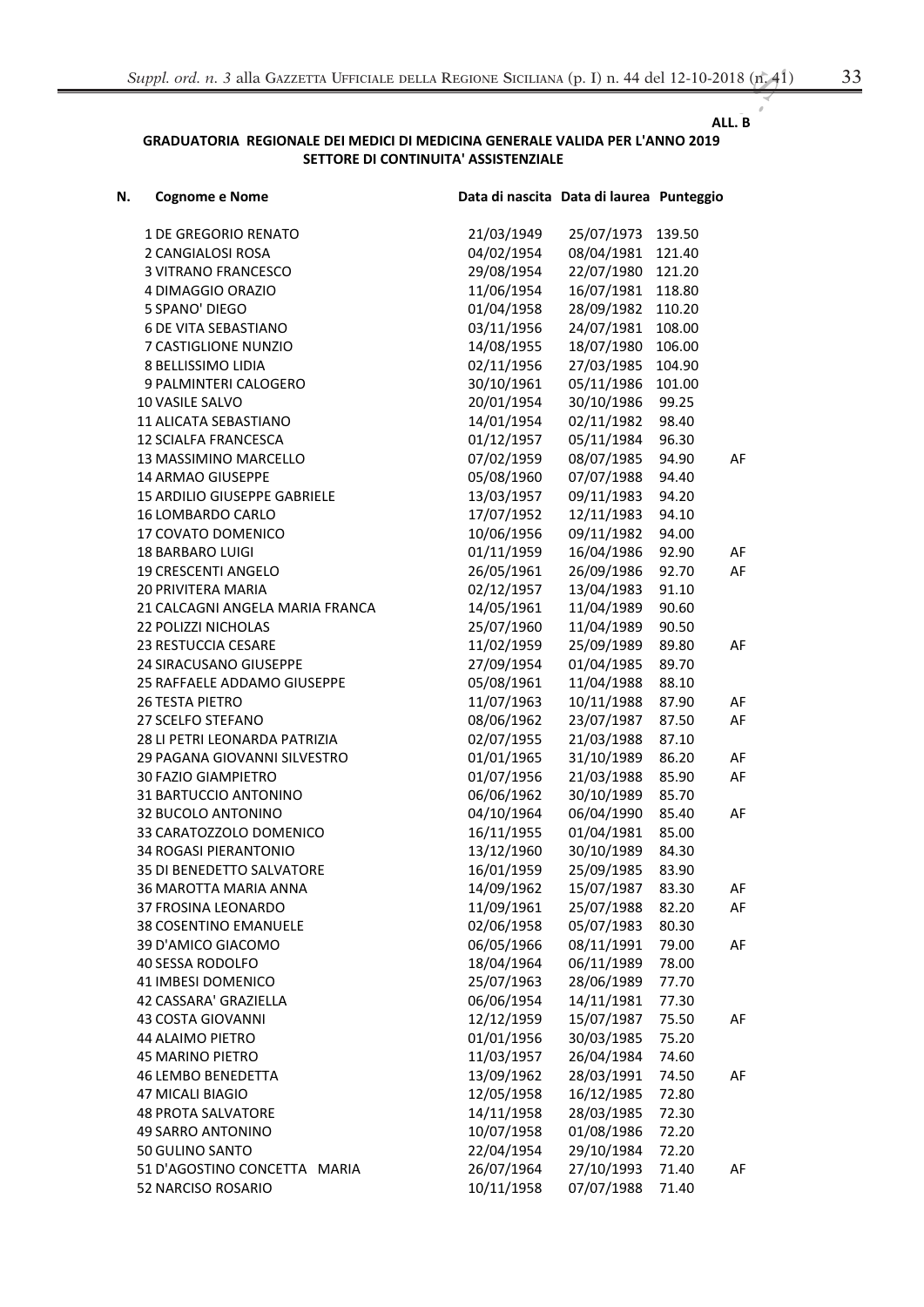## ALL. B

## GRADUATORIA REGIONALE DEI MEDICI DI MEDICINA GENERALE VALIDA PER L'ANNO 2019 SETTORE DI CONTINUITA' ASSISTENZIALE

| N. | <b>Cognome e Nome</b>                | Data di nascita Data di laurea Punteggio |                          |                |    |
|----|--------------------------------------|------------------------------------------|--------------------------|----------------|----|
|    | <b>1 DE GREGORIO RENATO</b>          | 21/03/1949                               | 25/07/1973               | 139.50         |    |
|    | 2 CANGIALOSI ROSA                    | 04/02/1954                               | 08/04/1981               | 121.40         |    |
|    | <b>3 VITRANO FRANCESCO</b>           | 29/08/1954                               | 22/07/1980               | 121.20         |    |
|    | 4 DIMAGGIO ORAZIO                    | 11/06/1954                               | 16/07/1981               | 118.80         |    |
|    | 5 SPANO' DIEGO                       | 01/04/1958                               | 28/09/1982               | 110.20         |    |
|    | <b>6 DE VITA SEBASTIANO</b>          | 03/11/1956                               | 24/07/1981               | 108.00         |    |
|    | 7 CASTIGLIONE NUNZIO                 | 14/08/1955                               | 18/07/1980               | 106.00         |    |
|    | 8 BELLISSIMO LIDIA                   | 02/11/1956                               | 27/03/1985               | 104.90         |    |
|    | 9 PALMINTERI CALOGERO                | 30/10/1961                               | 05/11/1986               | 101.00         |    |
|    | 10 VASILE SALVO                      | 20/01/1954                               | 30/10/1986               | 99.25          |    |
|    | 11 ALICATA SEBASTIANO                | 14/01/1954                               | 02/11/1982               | 98.40          |    |
|    | <b>12 SCIALFA FRANCESCA</b>          | 01/12/1957                               | 05/11/1984               | 96.30          |    |
|    | 13 MASSIMINO MARCELLO                | 07/02/1959                               | 08/07/1985               | 94.90          | AF |
|    | 14 ARMAO GIUSEPPE                    | 05/08/1960                               | 07/07/1988               | 94.40          |    |
|    | 15 ARDILIO GIUSEPPE GABRIELE         | 13/03/1957                               | 09/11/1983               | 94.20          |    |
|    | 16 LOMBARDO CARLO                    | 17/07/1952                               | 12/11/1983               | 94.10          |    |
|    | 17 COVATO DOMENICO                   | 10/06/1956                               | 09/11/1982               | 94.00          |    |
|    | <b>18 BARBARO LUIGI</b>              | 01/11/1959                               | 16/04/1986               | 92.90          | AF |
|    | 19 CRESCENTI ANGELO                  | 26/05/1961                               | 26/09/1986               | 92.70          | AF |
|    | 20 PRIVITERA MARIA                   | 02/12/1957                               | 13/04/1983               | 91.10          |    |
|    | 21 CALCAGNI ANGELA MARIA FRANCA      | 14/05/1961                               | 11/04/1989               | 90.60          |    |
|    | 22 POLIZZI NICHOLAS                  | 25/07/1960                               | 11/04/1989               | 90.50          |    |
|    | 23 RESTUCCIA CESARE                  | 11/02/1959                               | 25/09/1989               | 89.80          | AF |
|    | 24 SIRACUSANO GIUSEPPE               | 27/09/1954                               | 01/04/1985               | 89.70          |    |
|    | 25 RAFFAELE ADDAMO GIUSEPPE          | 05/08/1961                               | 11/04/1988               | 88.10          |    |
|    | <b>26 TESTA PIETRO</b>               | 11/07/1963                               | 10/11/1988               | 87.90          | AF |
|    | 27 SCELFO STEFANO                    | 08/06/1962                               | 23/07/1987               | 87.50          | AF |
|    | 28 LI PETRI LEONARDA PATRIZIA        | 02/07/1955                               | 21/03/1988               | 87.10          |    |
|    | 29 PAGANA GIOVANNI SILVESTRO         | 01/01/1965                               | 31/10/1989               | 86.20          | AF |
|    | 30 FAZIO GIAMPIETRO                  | 01/07/1956                               | 21/03/1988               | 85.90          | AF |
|    | 31 BARTUCCIO ANTONINO                | 06/06/1962                               | 30/10/1989               | 85.70          |    |
|    | 32 BUCOLO ANTONINO                   | 04/10/1964                               | 06/04/1990               | 85.40          | AF |
|    | 33 CARATOZZOLO DOMENICO              | 16/11/1955                               | 01/04/1981               | 85.00          |    |
|    | <b>34 ROGASI PIERANTONIO</b>         | 13/12/1960                               | 30/10/1989               | 84.30          |    |
|    | 35 DI BENEDETTO SALVATORE            | 16/01/1959                               | 25/09/1985               | 83.90          |    |
|    | 36 MAROTTA MARIA ANNA                | 14/09/1962                               | 15/07/1987               | 83.30          | AF |
|    | 37 FROSINA LEONARDO                  | 11/09/1961                               | 25/07/1988               | 82.20          | AF |
|    | <b>38 COSENTINO EMANUELE</b>         | 02/06/1958                               | 05/07/1983               | 80.30          |    |
|    | 39 D'AMICO GIACOMO                   | 06/05/1966                               | 08/11/1991               | 79.00          | AF |
|    | 40 SESSA RODOLFO                     | 18/04/1964                               | 06/11/1989               | 78.00          |    |
|    | 41 IMBESI DOMENICO                   | 25/07/1963                               | 28/06/1989               | 77.70          |    |
|    | 42 CASSARA' GRAZIELLA                | 06/06/1954                               | 14/11/1981               | 77.30          |    |
|    | 43 COSTA GIOVANNI                    | 12/12/1959                               | 15/07/1987<br>30/03/1985 | 75.50          | AF |
|    | 44 ALAIMO PIETRO<br>45 MARINO PIETRO | 01/01/1956<br>11/03/1957                 | 26/04/1984               | 75.20<br>74.60 |    |
|    | <b>46 LEMBO BENEDETTA</b>            | 13/09/1962                               | 28/03/1991               | 74.50          | AF |
|    | 47 MICALI BIAGIO                     | 12/05/1958                               | 16/12/1985               | 72.80          |    |
|    | <b>48 PROTA SALVATORE</b>            | 14/11/1958                               | 28/03/1985               | 72.30          |    |
|    | 49 SARRO ANTONINO                    | 10/07/1958                               | 01/08/1986               | 72.20          |    |
|    | 50 GULINO SANTO                      | 22/04/1954                               | 29/10/1984               | 72.20          |    |
|    | 51 D'AGOSTINO CONCETTA MARIA         | 26/07/1964                               | 27/10/1993               | 71.40          | AF |
|    | 52 NARCISO ROSARIO                   | 10/11/1958                               | 07/07/1988               | 71.40          |    |
|    |                                      |                                          |                          |                |    |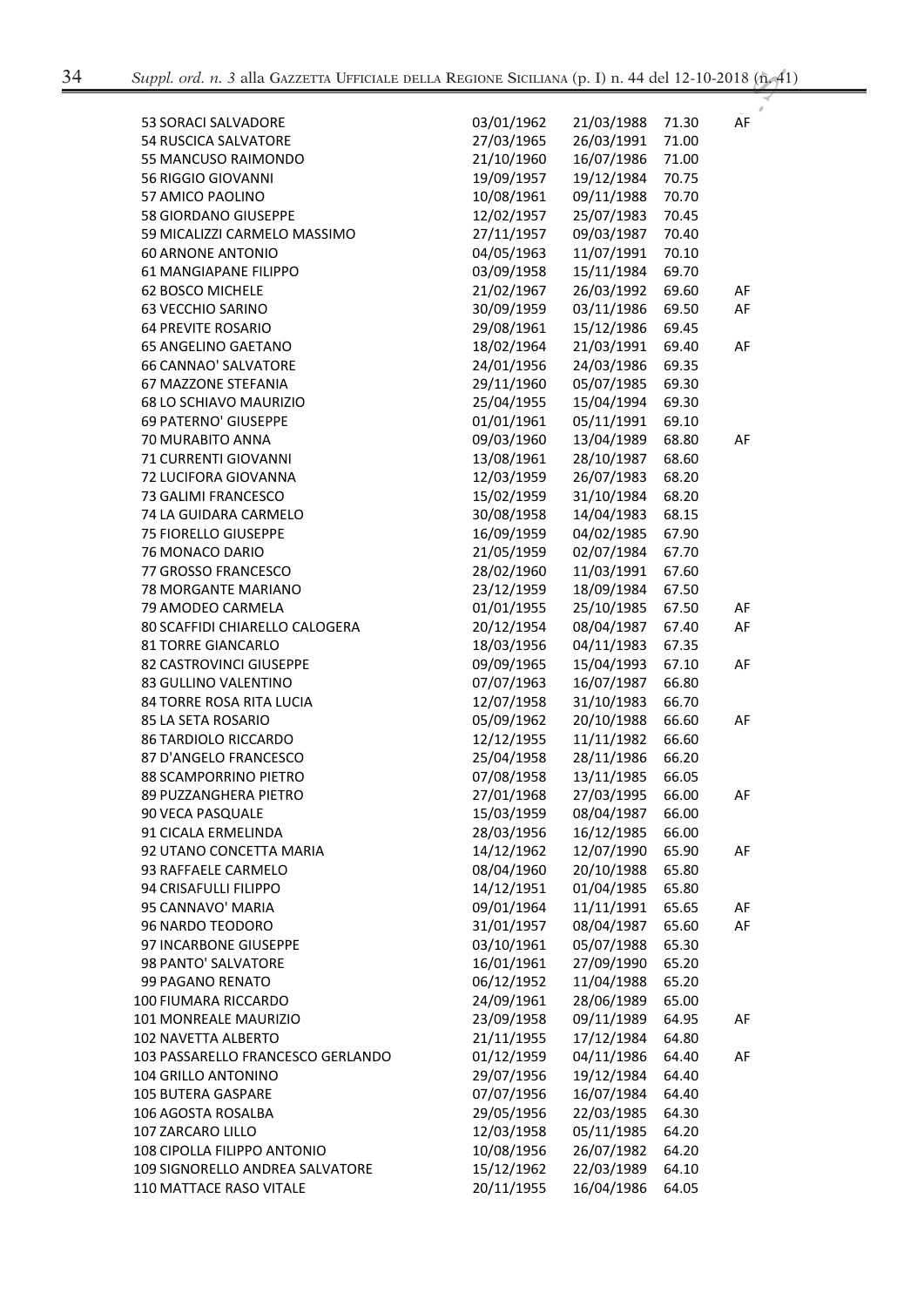| <b>53 SORACI SALVADORE</b>        | 03/01/1962 | 21/03/1988 | 71.30 | AF |
|-----------------------------------|------------|------------|-------|----|
| <b>54 RUSCICA SALVATORE</b>       | 27/03/1965 | 26/03/1991 | 71.00 |    |
| 55 MANCUSO RAIMONDO               | 21/10/1960 | 16/07/1986 | 71.00 |    |
| 56 RIGGIO GIOVANNI                | 19/09/1957 | 19/12/1984 | 70.75 |    |
| <b>57 AMICO PAOLINO</b>           | 10/08/1961 | 09/11/1988 | 70.70 |    |
| 58 GIORDANO GIUSEPPE              | 12/02/1957 | 25/07/1983 | 70.45 |    |
| 59 MICALIZZI CARMELO MASSIMO      | 27/11/1957 | 09/03/1987 | 70.40 |    |
| <b>60 ARNONE ANTONIO</b>          | 04/05/1963 | 11/07/1991 | 70.10 |    |
| <b>61 MANGIAPANE FILIPPO</b>      | 03/09/1958 | 15/11/1984 | 69.70 |    |
| 62 BOSCO MICHELE                  | 21/02/1967 | 26/03/1992 | 69.60 | AF |
| <b>63 VECCHIO SARINO</b>          | 30/09/1959 | 03/11/1986 | 69.50 | AF |
| <b>64 PREVITE ROSARIO</b>         | 29/08/1961 | 15/12/1986 | 69.45 |    |
| 65 ANGELINO GAETANO               | 18/02/1964 | 21/03/1991 | 69.40 | AF |
| <b>66 CANNAO' SALVATORE</b>       | 24/01/1956 | 24/03/1986 | 69.35 |    |
| 67 MAZZONE STEFANIA               | 29/11/1960 | 05/07/1985 | 69.30 |    |
| 68 LO SCHIAVO MAURIZIO            | 25/04/1955 | 15/04/1994 | 69.30 |    |
| 69 PATERNO' GIUSEPPE              | 01/01/1961 | 05/11/1991 | 69.10 |    |
| 70 MURABITO ANNA                  | 09/03/1960 | 13/04/1989 | 68.80 | AF |
| 71 CURRENTI GIOVANNI              | 13/08/1961 | 28/10/1987 | 68.60 |    |
| 72 LUCIFORA GIOVANNA              | 12/03/1959 | 26/07/1983 | 68.20 |    |
| 73 GALIMI FRANCESCO               | 15/02/1959 | 31/10/1984 | 68.20 |    |
| 74 LA GUIDARA CARMELO             | 30/08/1958 | 14/04/1983 | 68.15 |    |
| <b>75 FIORELLO GIUSEPPE</b>       | 16/09/1959 | 04/02/1985 | 67.90 |    |
| 76 MONACO DARIO                   | 21/05/1959 | 02/07/1984 | 67.70 |    |
| 77 GROSSO FRANCESCO               | 28/02/1960 | 11/03/1991 | 67.60 |    |
| 78 MORGANTE MARIANO               | 23/12/1959 | 18/09/1984 | 67.50 |    |
| 79 AMODEO CARMELA                 | 01/01/1955 | 25/10/1985 | 67.50 | AF |
| 80 SCAFFIDI CHIARELLO CALOGERA    | 20/12/1954 | 08/04/1987 | 67.40 | AF |
| <b>81 TORRE GIANCARLO</b>         | 18/03/1956 | 04/11/1983 | 67.35 |    |
| 82 CASTROVINCI GIUSEPPE           | 09/09/1965 | 15/04/1993 | 67.10 | AF |
| 83 GULLINO VALENTINO              | 07/07/1963 | 16/07/1987 | 66.80 |    |
| 84 TORRE ROSA RITA LUCIA          | 12/07/1958 | 31/10/1983 | 66.70 |    |
| 85 LA SETA ROSARIO                | 05/09/1962 | 20/10/1988 | 66.60 | AF |
| 86 TARDIOLO RICCARDO              | 12/12/1955 | 11/11/1982 | 66.60 |    |
| 87 D'ANGELO FRANCESCO             | 25/04/1958 | 28/11/1986 | 66.20 |    |
| 88 SCAMPORRINO PIETRO             | 07/08/1958 | 13/11/1985 | 66.05 |    |
| 89 PUZZANGHERA PIETRO             | 27/01/1968 | 27/03/1995 | 66.00 | AF |
| 90 VECA PASQUALE                  | 15/03/1959 | 08/04/1987 | 66.00 |    |
| 91 CICALA ERMELINDA               | 28/03/1956 | 16/12/1985 | 66.00 |    |
| 92 UTANO CONCETTA MARIA           | 14/12/1962 | 12/07/1990 | 65.90 | AF |
| 93 RAFFAELE CARMELO               | 08/04/1960 | 20/10/1988 | 65.80 |    |
| 94 CRISAFULLI FILIPPO             | 14/12/1951 | 01/04/1985 | 65.80 |    |
| 95 CANNAVO' MARIA                 | 09/01/1964 | 11/11/1991 | 65.65 | AF |
| 96 NARDO TEODORO                  | 31/01/1957 | 08/04/1987 | 65.60 | AF |
| 97 INCARBONE GIUSEPPE             | 03/10/1961 | 05/07/1988 | 65.30 |    |
| 98 PANTO' SALVATORE               | 16/01/1961 | 27/09/1990 | 65.20 |    |
| 99 PAGANO RENATO                  | 06/12/1952 | 11/04/1988 | 65.20 |    |
| 100 FIUMARA RICCARDO              | 24/09/1961 | 28/06/1989 | 65.00 |    |
| 101 MONREALE MAURIZIO             | 23/09/1958 | 09/11/1989 | 64.95 | AF |
| 102 NAVETTA ALBERTO               | 21/11/1955 | 17/12/1984 | 64.80 |    |
| 103 PASSARELLO FRANCESCO GERLANDO | 01/12/1959 | 04/11/1986 | 64.40 | AF |
| 104 GRILLO ANTONINO               | 29/07/1956 | 19/12/1984 | 64.40 |    |
| 105 BUTERA GASPARE                | 07/07/1956 | 16/07/1984 | 64.40 |    |
| 106 AGOSTA ROSALBA                | 29/05/1956 | 22/03/1985 | 64.30 |    |
| 107 ZARCARO LILLO                 | 12/03/1958 | 05/11/1985 |       |    |
|                                   |            |            | 64.20 |    |
| 108 CIPOLLA FILIPPO ANTONIO       | 10/08/1956 | 26/07/1982 | 64.20 |    |
| 109 SIGNORELLO ANDREA SALVATORE   | 15/12/1962 | 22/03/1989 | 64.10 |    |
| 110 MATTACE RASO VITALE           | 20/11/1955 | 16/04/1986 | 64.05 |    |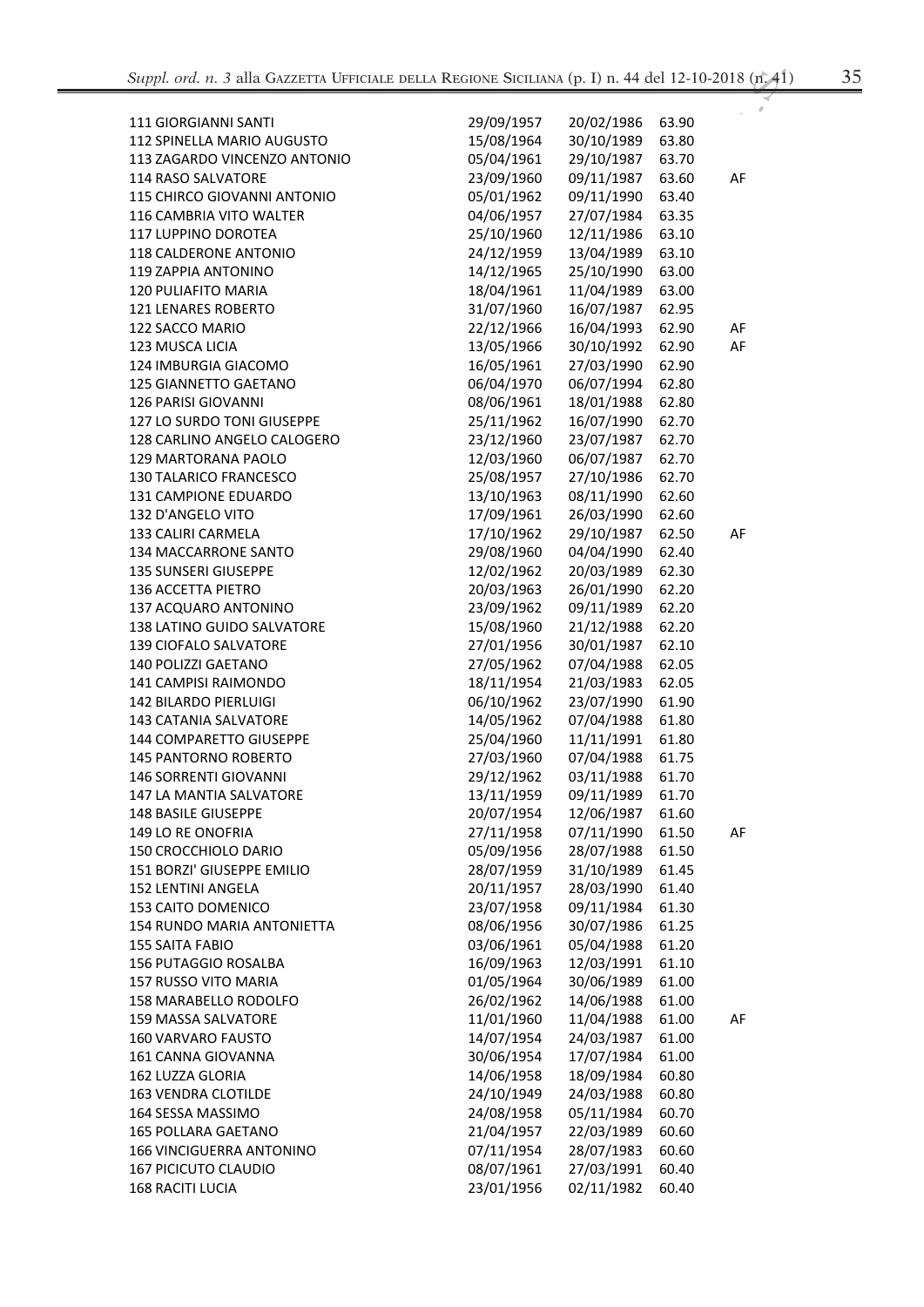| 12-10-2018 (n. 41) |  |
|--------------------|--|
|                    |  |
|                    |  |
| מה ר־              |  |

| <b>111 GIORGIANNI SANTI</b>                                    | 29/09/1957               | 20/02/1986               | 63.90          |    |
|----------------------------------------------------------------|--------------------------|--------------------------|----------------|----|
| 112 SPINELLA MARIO AUGUSTO                                     | 15/08/1964               | 30/10/1989               | 63.80          |    |
| 113 ZAGARDO VINCENZO ANTONIO                                   | 05/04/1961               | 29/10/1987               | 63.70          |    |
| 114 RASO SALVATORE                                             | 23/09/1960               | 09/11/1987               | 63.60          | AF |
| 115 CHIRCO GIOVANNI ANTONIO                                    | 05/01/1962               | 09/11/1990               | 63.40          |    |
| 116 CAMBRIA VITO WALTER                                        | 04/06/1957               | 27/07/1984               | 63.35          |    |
| 117 LUPPINO DOROTEA                                            | 25/10/1960               | 12/11/1986               | 63.10          |    |
| 118 CALDERONE ANTONIO                                          | 24/12/1959               | 13/04/1989               | 63.10          |    |
| 119 ZAPPIA ANTONINO                                            | 14/12/1965               | 25/10/1990               | 63.00          |    |
| 120 PULIAFITO MARIA                                            | 18/04/1961               | 11/04/1989               | 63.00          |    |
| 121 LENARES ROBERTO                                            | 31/07/1960               | 16/07/1987               | 62.95          |    |
| 122 SACCO MARIO                                                | 22/12/1966               | 16/04/1993               | 62.90          | AF |
| 123 MUSCA LICIA                                                | 13/05/1966               | 30/10/1992               | 62.90          | AF |
| 124 IMBURGIA GIACOMO                                           | 16/05/1961               | 27/03/1990               | 62.90          |    |
| 125 GIANNETTO GAETANO                                          | 06/04/1970               | 06/07/1994               | 62.80          |    |
| 126 PARISI GIOVANNI                                            | 08/06/1961               | 18/01/1988               | 62.80          |    |
| 127 LO SURDO TONI GIUSEPPE                                     | 25/11/1962               | 16/07/1990               | 62.70          |    |
| 128 CARLINO ANGELO CALOGERO                                    | 23/12/1960               | 23/07/1987               | 62.70          |    |
| <b>129 MARTORANA PAOLO</b>                                     | 12/03/1960               | 06/07/1987               | 62.70          |    |
| 130 TALARICO FRANCESCO                                         | 25/08/1957               | 27/10/1986               | 62.70          |    |
| 131 CAMPIONE EDUARDO                                           | 13/10/1963               | 08/11/1990               | 62.60          |    |
| 132 D'ANGELO VITO                                              | 17/09/1961               | 26/03/1990               | 62.60          |    |
| 133 CALIRI CARMELA                                             | 17/10/1962               | 29/10/1987               | 62.50          | AF |
| 134 MACCARRONE SANTO                                           | 29/08/1960               | 04/04/1990               | 62.40          |    |
| <b>135 SUNSERI GIUSEPPE</b>                                    | 12/02/1962               | 20/03/1989               | 62.30          |    |
| 136 ACCETTA PIETRO                                             | 20/03/1963               | 26/01/1990               | 62.20          |    |
| 137 ACQUARO ANTONINO                                           | 23/09/1962               | 09/11/1989               | 62.20          |    |
| 138 LATINO GUIDO SALVATORE                                     | 15/08/1960               | 21/12/1988               | 62.20          |    |
| <b>139 CIOFALO SALVATORE</b>                                   | 27/01/1956               | 30/01/1987               | 62.10          |    |
| 140 POLIZZI GAETANO                                            | 27/05/1962               | 07/04/1988               | 62.05          |    |
| 141 CAMPISI RAIMONDO                                           | 18/11/1954               | 21/03/1983               | 62.05          |    |
| <b>142 BILARDO PIERLUIGI</b>                                   | 06/10/1962               | 23/07/1990               | 61.90          |    |
| <b>143 CATANIA SALVATORE</b>                                   | 14/05/1962               | 07/04/1988               | 61.80          |    |
| 144 COMPARETTO GIUSEPPE                                        | 25/04/1960               | 11/11/1991               | 61.80          |    |
| <b>145 PANTORNO ROBERTO</b>                                    | 27/03/1960               | 07/04/1988               | 61.75          |    |
| <b>146 SORRENTI GIOVANNI</b>                                   | 29/12/1962               | 03/11/1988               | 61.70          |    |
| <b>147 LA MANTIA SALVATORE</b>                                 | 13/11/1959               | 09/11/1989               | 61.70          |    |
| 148 BASILE GIUSEPPE                                            | 20/07/1954               | 12/06/1987               | 61.60          |    |
| 149 LO RE ONOFRIA                                              | 27/11/1958               | 07/11/1990               | 61.50          | AF |
| 150 CROCCHIOLO DARIO                                           | 05/09/1956               | 28/07/1988               | 61.50          |    |
| 151 BORZI' GIUSEPPE EMILIO                                     | 28/07/1959               | 31/10/1989               | 61.45          |    |
| <b>152 LENTINI ANGELA</b>                                      | 20/11/1957               | 28/03/1990               | 61.40          |    |
| 153 CAITO DOMENICO                                             | 23/07/1958               | 09/11/1984               | 61.30          |    |
| 154 RUNDO MARIA ANTONIETTA                                     | 08/06/1956               | 30/07/1986               | 61.25          |    |
| <b>155 SAITA FABIO</b>                                         | 03/06/1961               | 05/04/1988               | 61.20          |    |
| 156 PUTAGGIO ROSALBA                                           | 16/09/1963               | 12/03/1991               | 61.10          |    |
| 157 RUSSO VITO MARIA                                           | 01/05/1964               | 30/06/1989               | 61.00          |    |
| 158 MARABELLO RODOLFO                                          | 26/02/1962               | 14/06/1988               | 61.00          |    |
| 159 MASSA SALVATORE                                            | 11/01/1960               | 11/04/1988               | 61.00          | AF |
| <b>160 VARVARO FAUSTO</b>                                      | 14/07/1954               | 24/03/1987               | 61.00          |    |
| 161 CANNA GIOVANNA                                             | 30/06/1954               | 17/07/1984               | 61.00          |    |
| 162 LUZZA GLORIA                                               | 14/06/1958               | 18/09/1984               | 60.80          |    |
| 163 VENDRA CLOTILDE                                            | 24/10/1949               | 24/03/1988               | 60.80          |    |
| 164 SESSA MASSIMO                                              | 24/08/1958               | 05/11/1984               | 60.70          |    |
| <b>165 POLLARA GAETANO</b>                                     | 21/04/1957               | 22/03/1989               | 60.60          |    |
| <b>166 VINCIGUERRA ANTONINO</b><br><b>167 PICICUTO CLAUDIO</b> | 07/11/1954<br>08/07/1961 | 28/07/1983<br>27/03/1991 | 60.60<br>60.40 |    |
| 168 RACITI LUCIA                                               | 23/01/1956               | 02/11/1982               | 60.40          |    |
|                                                                |                          |                          |                |    |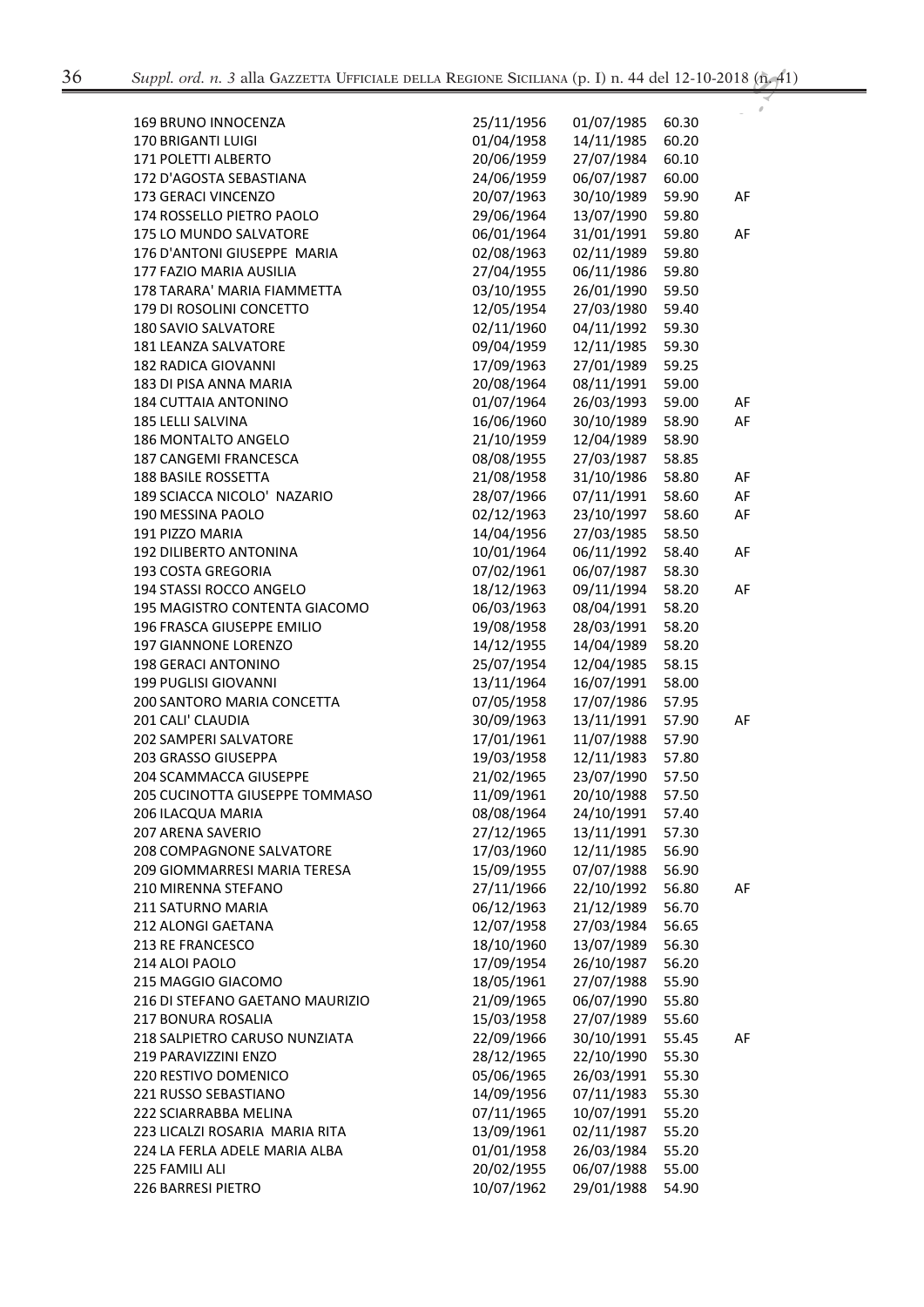| 169 BRUNO INNOCENZA             | 25/11/1956 | 01/07/1985 | 60.30 |    |
|---------------------------------|------------|------------|-------|----|
| 170 BRIGANTI LUIGI              | 01/04/1958 | 14/11/1985 | 60.20 |    |
| 171 POLETTI ALBERTO             | 20/06/1959 | 27/07/1984 | 60.10 |    |
| 172 D'AGOSTA SEBASTIANA         | 24/06/1959 | 06/07/1987 | 60.00 |    |
| 173 GERACI VINCENZO             | 20/07/1963 | 30/10/1989 | 59.90 | AF |
| 174 ROSSELLO PIETRO PAOLO       | 29/06/1964 | 13/07/1990 | 59.80 |    |
| 175 LO MUNDO SALVATORE          | 06/01/1964 | 31/01/1991 | 59.80 | AF |
| 176 D'ANTONI GIUSEPPE MARIA     | 02/08/1963 | 02/11/1989 | 59.80 |    |
| 177 FAZIO MARIA AUSILIA         | 27/04/1955 | 06/11/1986 | 59.80 |    |
| 178 TARARA' MARIA FIAMMETTA     | 03/10/1955 | 26/01/1990 | 59.50 |    |
| 179 DI ROSOLINI CONCETTO        | 12/05/1954 | 27/03/1980 | 59.40 |    |
| 180 SAVIO SALVATORE             | 02/11/1960 | 04/11/1992 | 59.30 |    |
| 181 LEANZA SALVATORE            | 09/04/1959 | 12/11/1985 | 59.30 |    |
| 182 RADICA GIOVANNI             | 17/09/1963 | 27/01/1989 | 59.25 |    |
| 183 DI PISA ANNA MARIA          | 20/08/1964 | 08/11/1991 | 59.00 |    |
| <b>184 CUTTAIA ANTONINO</b>     | 01/07/1964 | 26/03/1993 | 59.00 | AF |
| 185 LELLI SALVINA               | 16/06/1960 | 30/10/1989 | 58.90 | AF |
| 186 MONTALTO ANGELO             | 21/10/1959 | 12/04/1989 | 58.90 |    |
| 187 CANGEMI FRANCESCA           | 08/08/1955 | 27/03/1987 | 58.85 |    |
| <b>188 BASILE ROSSETTA</b>      | 21/08/1958 | 31/10/1986 | 58.80 | AF |
| 189 SCIACCA NICOLO' NAZARIO     | 28/07/1966 | 07/11/1991 | 58.60 | AF |
| 190 MESSINA PAOLO               | 02/12/1963 | 23/10/1997 | 58.60 | AF |
| 191 PIZZO MARIA                 | 14/04/1956 | 27/03/1985 | 58.50 |    |
| 192 DILIBERTO ANTONINA          | 10/01/1964 | 06/11/1992 | 58.40 | AF |
| 193 COSTA GREGORIA              | 07/02/1961 | 06/07/1987 | 58.30 |    |
| 194 STASSI ROCCO ANGELO         | 18/12/1963 | 09/11/1994 | 58.20 | AF |
| 195 MAGISTRO CONTENTA GIACOMO   | 06/03/1963 | 08/04/1991 | 58.20 |    |
| 196 FRASCA GIUSEPPE EMILIO      | 19/08/1958 | 28/03/1991 | 58.20 |    |
| 197 GIANNONE LORENZO            | 14/12/1955 | 14/04/1989 | 58.20 |    |
| 198 GERACI ANTONINO             | 25/07/1954 | 12/04/1985 | 58.15 |    |
| 199 PUGLISI GIOVANNI            | 13/11/1964 | 16/07/1991 | 58.00 |    |
| 200 SANTORO MARIA CONCETTA      | 07/05/1958 | 17/07/1986 | 57.95 |    |
| 201 CALI' CLAUDIA               | 30/09/1963 | 13/11/1991 | 57.90 | AF |
| 202 SAMPERI SALVATORE           | 17/01/1961 | 11/07/1988 | 57.90 |    |
| 203 GRASSO GIUSEPPA             | 19/03/1958 | 12/11/1983 | 57.80 |    |
| 204 SCAMMACCA GIUSEPPE          | 21/02/1965 | 23/07/1990 | 57.50 |    |
| 205 CUCINOTTA GIUSEPPE TOMMASO  | 11/09/1961 | 20/10/1988 | 57.50 |    |
| 206 ILACQUA MARIA               | 08/08/1964 | 24/10/1991 | 57.40 |    |
| 207 ARENA SAVERIO               | 27/12/1965 | 13/11/1991 | 57.30 |    |
| 208 COMPAGNONE SALVATORE        | 17/03/1960 | 12/11/1985 | 56.90 |    |
| 209 GIOMMARRESI MARIA TERESA    | 15/09/1955 | 07/07/1988 | 56.90 |    |
| 210 MIRENNA STEFANO             | 27/11/1966 | 22/10/1992 | 56.80 | AF |
| 211 SATURNO MARIA               | 06/12/1963 | 21/12/1989 | 56.70 |    |
| <b>212 ALONGI GAETANA</b>       | 12/07/1958 | 27/03/1984 | 56.65 |    |
| <b>213 RE FRANCESCO</b>         | 18/10/1960 | 13/07/1989 | 56.30 |    |
| 214 ALOI PAOLO                  | 17/09/1954 | 26/10/1987 | 56.20 |    |
| 215 MAGGIO GIACOMO              | 18/05/1961 | 27/07/1988 | 55.90 |    |
| 216 DI STEFANO GAETANO MAURIZIO | 21/09/1965 | 06/07/1990 | 55.80 |    |
| 217 BONURA ROSALIA              | 15/03/1958 | 27/07/1989 | 55.60 |    |
| 218 SALPIETRO CARUSO NUNZIATA   | 22/09/1966 | 30/10/1991 | 55.45 | AF |
| 219 PARAVIZZINI ENZO            | 28/12/1965 | 22/10/1990 | 55.30 |    |
| 220 RESTIVO DOMENICO            | 05/06/1965 | 26/03/1991 | 55.30 |    |
| 221 RUSSO SEBASTIANO            | 14/09/1956 | 07/11/1983 | 55.30 |    |
| 222 SCIARRABBA MELINA           | 07/11/1965 | 10/07/1991 | 55.20 |    |
| 223 LICALZI ROSARIA MARIA RITA  | 13/09/1961 | 02/11/1987 | 55.20 |    |
| 224 LA FERLA ADELE MARIA ALBA   | 01/01/1958 | 26/03/1984 | 55.20 |    |
| 225 FAMILI ALI                  | 20/02/1955 | 06/07/1988 | 55.00 |    |
| 226 BARRESI PIETRO              | 10/07/1962 | 29/01/1988 | 54.90 |    |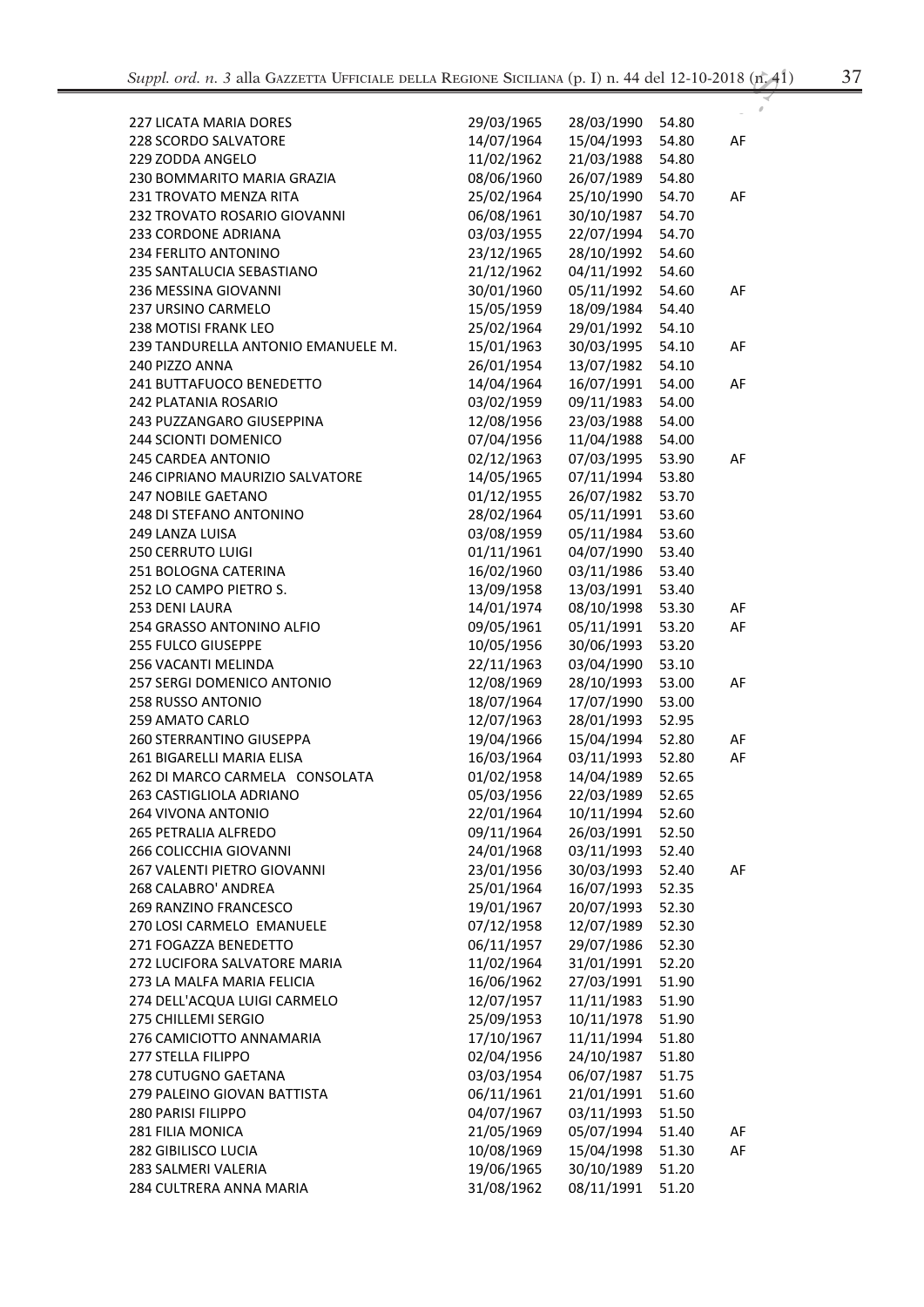| ۰.<br>۰.           |    |
|--------------------|----|
| ٦<br>٧<br>۰.<br>M. | ., |

| <b>227 LICATA MARIA DORES</b>      | 29/03/1965 | 28/03/1990 | 54.80 |    |
|------------------------------------|------------|------------|-------|----|
| 228 SCORDO SALVATORE               | 14/07/1964 | 15/04/1993 | 54.80 | AF |
| 229 ZODDA ANGELO                   | 11/02/1962 | 21/03/1988 | 54.80 |    |
| 230 BOMMARITO MARIA GRAZIA         | 08/06/1960 | 26/07/1989 | 54.80 |    |
|                                    |            |            |       |    |
| 231 TROVATO MENZA RITA             | 25/02/1964 | 25/10/1990 | 54.70 | AF |
| 232 TROVATO ROSARIO GIOVANNI       | 06/08/1961 | 30/10/1987 | 54.70 |    |
| <b>233 CORDONE ADRIANA</b>         | 03/03/1955 | 22/07/1994 | 54.70 |    |
| 234 FERLITO ANTONINO               | 23/12/1965 | 28/10/1992 | 54.60 |    |
| 235 SANTALUCIA SEBASTIANO          | 21/12/1962 | 04/11/1992 | 54.60 |    |
| 236 MESSINA GIOVANNI               | 30/01/1960 | 05/11/1992 | 54.60 | AF |
| 237 URSINO CARMELO                 | 15/05/1959 | 18/09/1984 | 54.40 |    |
| 238 MOTISI FRANK LEO               | 25/02/1964 | 29/01/1992 | 54.10 |    |
| 239 TANDURELLA ANTONIO EMANUELE M. | 15/01/1963 | 30/03/1995 | 54.10 | AF |
| 240 PIZZO ANNA                     | 26/01/1954 | 13/07/1982 | 54.10 |    |
| 241 BUTTAFUOCO BENEDETTO           | 14/04/1964 | 16/07/1991 | 54.00 | AF |
| <b>242 PLATANIA ROSARIO</b>        | 03/02/1959 | 09/11/1983 | 54.00 |    |
| 243 PUZZANGARO GIUSEPPINA          | 12/08/1956 | 23/03/1988 | 54.00 |    |
| 244 SCIONTI DOMENICO               | 07/04/1956 | 11/04/1988 | 54.00 |    |
| <b>245 CARDEA ANTONIO</b>          | 02/12/1963 | 07/03/1995 | 53.90 | AF |
| 246 CIPRIANO MAURIZIO SALVATORE    | 14/05/1965 | 07/11/1994 | 53.80 |    |
| <b>247 NOBILE GAETANO</b>          | 01/12/1955 | 26/07/1982 | 53.70 |    |
| 248 DI STEFANO ANTONINO            | 28/02/1964 | 05/11/1991 | 53.60 |    |
| <b>249 LANZA LUISA</b>             | 03/08/1959 | 05/11/1984 | 53.60 |    |
| 250 CERRUTO LUIGI                  | 01/11/1961 | 04/07/1990 | 53.40 |    |
| 251 BOLOGNA CATERINA               | 16/02/1960 | 03/11/1986 | 53.40 |    |
| 252 LO CAMPO PIETRO S.             | 13/09/1958 | 13/03/1991 | 53.40 |    |
| 253 DENI LAURA                     | 14/01/1974 | 08/10/1998 | 53.30 | AF |
| 254 GRASSO ANTONINO ALFIO          | 09/05/1961 | 05/11/1991 | 53.20 | AF |
| 255 FULCO GIUSEPPE                 | 10/05/1956 | 30/06/1993 | 53.20 |    |
|                                    |            |            |       |    |
| 256 VACANTI MELINDA                | 22/11/1963 | 03/04/1990 | 53.10 |    |
| 257 SERGI DOMENICO ANTONIO         | 12/08/1969 | 28/10/1993 | 53.00 | AF |
| 258 RUSSO ANTONIO                  | 18/07/1964 | 17/07/1990 | 53.00 |    |
| 259 AMATO CARLO                    | 12/07/1963 | 28/01/1993 | 52.95 |    |
| 260 STERRANTINO GIUSEPPA           | 19/04/1966 | 15/04/1994 | 52.80 | AF |
| 261 BIGARELLI MARIA ELISA          | 16/03/1964 | 03/11/1993 | 52.80 | AF |
| 262 DI MARCO CARMELA CONSOLATA     | 01/02/1958 | 14/04/1989 | 52.65 |    |
| 263 CASTIGLIOLA ADRIANO            | 05/03/1956 | 22/03/1989 | 52.65 |    |
| 264 VIVONA ANTONIO                 | 22/01/1964 | 10/11/1994 | 52.60 |    |
| 265 PETRALIA ALFREDO               | 09/11/1964 | 26/03/1991 | 52.50 |    |
| 266 COLICCHIA GIOVANNI             | 24/01/1968 | 03/11/1993 | 52.40 |    |
| 267 VALENTI PIETRO GIOVANNI        | 23/01/1956 | 30/03/1993 | 52.40 | AF |
| 268 CALABRO' ANDREA                | 25/01/1964 | 16/07/1993 | 52.35 |    |
| 269 RANZINO FRANCESCO              | 19/01/1967 | 20/07/1993 | 52.30 |    |
| 270 LOSI CARMELO EMANUELE          | 07/12/1958 | 12/07/1989 | 52.30 |    |
| 271 FOGAZZA BENEDETTO              | 06/11/1957 | 29/07/1986 | 52.30 |    |
| 272 LUCIFORA SALVATORE MARIA       | 11/02/1964 | 31/01/1991 | 52.20 |    |
| 273 LA MALFA MARIA FELICIA         | 16/06/1962 | 27/03/1991 | 51.90 |    |
| 274 DELL'ACQUA LUIGI CARMELO       | 12/07/1957 | 11/11/1983 | 51.90 |    |
| 275 CHILLEMI SERGIO                | 25/09/1953 | 10/11/1978 | 51.90 |    |
| 276 CAMICIOTTO ANNAMARIA           | 17/10/1967 | 11/11/1994 | 51.80 |    |
| 277 STELLA FILIPPO                 | 02/04/1956 | 24/10/1987 | 51.80 |    |
| 278 CUTUGNO GAETANA                | 03/03/1954 | 06/07/1987 | 51.75 |    |
| 279 PALEINO GIOVAN BATTISTA        | 06/11/1961 | 21/01/1991 | 51.60 |    |
| 280 PARISI FILIPPO                 | 04/07/1967 | 03/11/1993 | 51.50 |    |
| 281 FILIA MONICA                   | 21/05/1969 | 05/07/1994 | 51.40 | AF |
| 282 GIBILISCO LUCIA                | 10/08/1969 | 15/04/1998 | 51.30 | AF |
| 283 SALMERI VALERIA                | 19/06/1965 | 30/10/1989 | 51.20 |    |
| 284 CULTRERA ANNA MARIA            | 31/08/1962 | 08/11/1991 | 51.20 |    |
|                                    |            |            |       |    |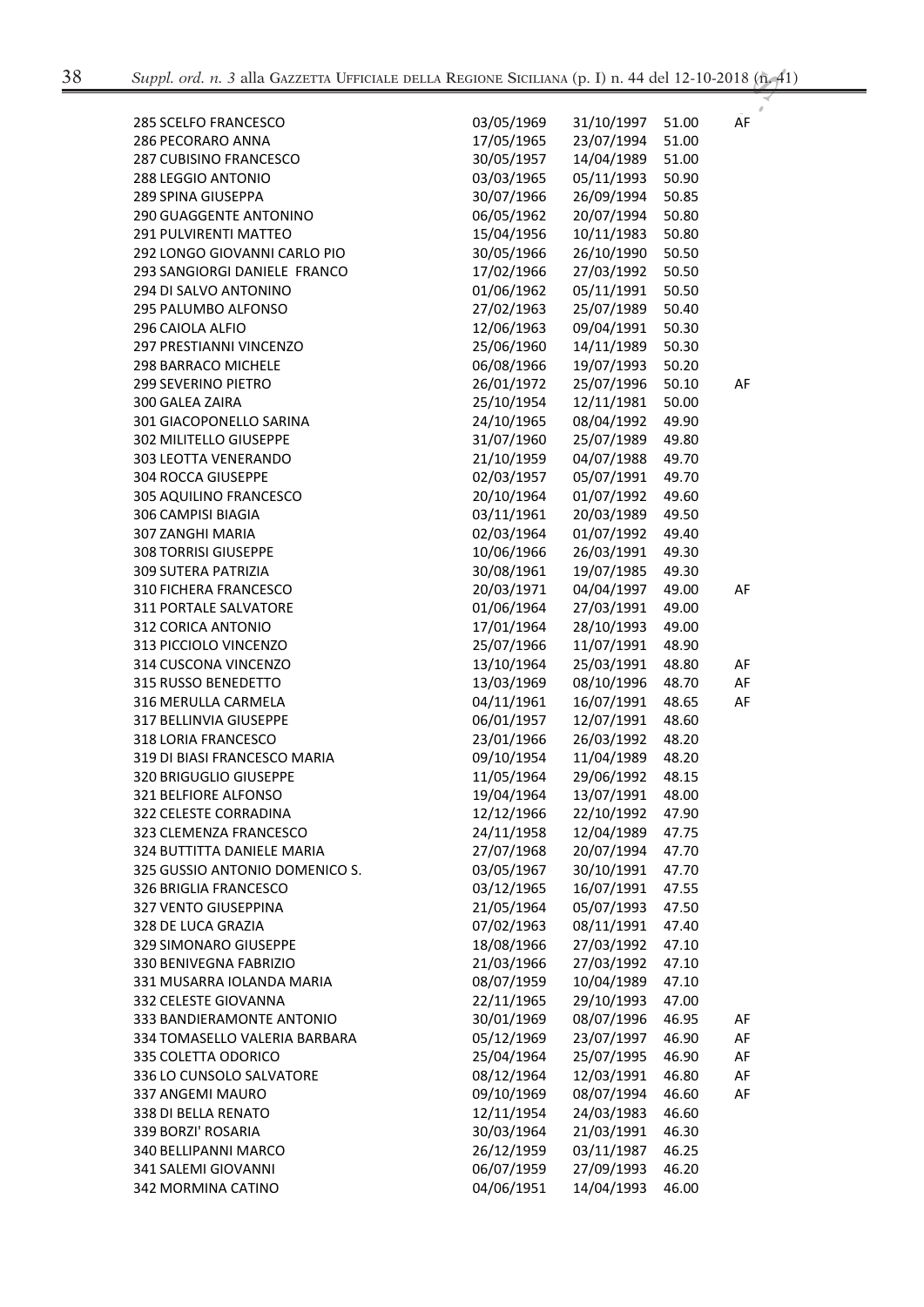| <b>285 SCELFO FRANCESCO</b>    | 03/05/1969 | 31/10/1997 | 51.00 | AF |
|--------------------------------|------------|------------|-------|----|
| 286 PECORARO ANNA              | 17/05/1965 | 23/07/1994 | 51.00 |    |
| <b>287 CUBISINO FRANCESCO</b>  | 30/05/1957 | 14/04/1989 | 51.00 |    |
| <b>288 LEGGIO ANTONIO</b>      | 03/03/1965 | 05/11/1993 | 50.90 |    |
| 289 SPINA GIUSEPPA             | 30/07/1966 | 26/09/1994 | 50.85 |    |
| <b>290 GUAGGENTE ANTONINO</b>  | 06/05/1962 | 20/07/1994 | 50.80 |    |
| 291 PULVIRENTI MATTEO          | 15/04/1956 | 10/11/1983 | 50.80 |    |
| 292 LONGO GIOVANNI CARLO PIO   | 30/05/1966 | 26/10/1990 | 50.50 |    |
| 293 SANGIORGI DANIELE FRANCO   | 17/02/1966 | 27/03/1992 | 50.50 |    |
| 294 DI SALVO ANTONINO          | 01/06/1962 | 05/11/1991 | 50.50 |    |
| 295 PALUMBO ALFONSO            | 27/02/1963 | 25/07/1989 | 50.40 |    |
| 296 CAIOLA ALFIO               | 12/06/1963 | 09/04/1991 | 50.30 |    |
| 297 PRESTIANNI VINCENZO        | 25/06/1960 | 14/11/1989 | 50.30 |    |
| 298 BARRACO MICHELE            | 06/08/1966 | 19/07/1993 | 50.20 |    |
| 299 SEVERINO PIETRO            | 26/01/1972 | 25/07/1996 | 50.10 | AF |
| 300 GALEA ZAIRA                | 25/10/1954 | 12/11/1981 | 50.00 |    |
| 301 GIACOPONELLO SARINA        | 24/10/1965 | 08/04/1992 | 49.90 |    |
| 302 MILITELLO GIUSEPPE         | 31/07/1960 | 25/07/1989 | 49.80 |    |
| 303 LEOTTA VENERANDO           | 21/10/1959 | 04/07/1988 | 49.70 |    |
| 304 ROCCA GIUSEPPE             | 02/03/1957 | 05/07/1991 | 49.70 |    |
| 305 AQUILINO FRANCESCO         | 20/10/1964 | 01/07/1992 | 49.60 |    |
| 306 CAMPISI BIAGIA             | 03/11/1961 | 20/03/1989 | 49.50 |    |
| 307 ZANGHI MARIA               | 02/03/1964 | 01/07/1992 | 49.40 |    |
| <b>308 TORRISI GIUSEPPE</b>    | 10/06/1966 | 26/03/1991 | 49.30 |    |
| 309 SUTERA PATRIZIA            | 30/08/1961 | 19/07/1985 | 49.30 |    |
| 310 FICHERA FRANCESCO          | 20/03/1971 | 04/04/1997 | 49.00 | AF |
| 311 PORTALE SALVATORE          | 01/06/1964 | 27/03/1991 | 49.00 |    |
| 312 CORICA ANTONIO             | 17/01/1964 | 28/10/1993 | 49.00 |    |
| 313 PICCIOLO VINCENZO          | 25/07/1966 | 11/07/1991 | 48.90 |    |
| 314 CUSCONA VINCENZO           | 13/10/1964 | 25/03/1991 | 48.80 | AF |
| 315 RUSSO BENEDETTO            | 13/03/1969 | 08/10/1996 | 48.70 | AF |
| 316 MERULLA CARMELA            | 04/11/1961 | 16/07/1991 | 48.65 | AF |
| 317 BELLINVIA GIUSEPPE         | 06/01/1957 | 12/07/1991 | 48.60 |    |
| 318 LORIA FRANCESCO            | 23/01/1966 | 26/03/1992 | 48.20 |    |
| 319 DI BIASI FRANCESCO MARIA   | 09/10/1954 | 11/04/1989 | 48.20 |    |
| 320 BRIGUGLIO GIUSEPPE         | 11/05/1964 | 29/06/1992 | 48.15 |    |
| 321 BELFIORE ALFONSO           | 19/04/1964 | 13/07/1991 | 48.00 |    |
| 322 CELESTE CORRADINA          | 12/12/1966 | 22/10/1992 | 47.90 |    |
| 323 CLEMENZA FRANCESCO         | 24/11/1958 | 12/04/1989 | 47.75 |    |
| 324 BUTTITTA DANIELE MARIA     | 27/07/1968 | 20/07/1994 | 47.70 |    |
| 325 GUSSIO ANTONIO DOMENICO S. | 03/05/1967 | 30/10/1991 | 47.70 |    |
| 326 BRIGLIA FRANCESCO          | 03/12/1965 | 16/07/1991 | 47.55 |    |
| 327 VENTO GIUSEPPINA           | 21/05/1964 | 05/07/1993 | 47.50 |    |
| 328 DE LUCA GRAZIA             | 07/02/1963 | 08/11/1991 | 47.40 |    |
| 329 SIMONARO GIUSEPPE          | 18/08/1966 | 27/03/1992 | 47.10 |    |
| 330 BENIVEGNA FABRIZIO         | 21/03/1966 | 27/03/1992 | 47.10 |    |
| 331 MUSARRA IOLANDA MARIA      | 08/07/1959 | 10/04/1989 | 47.10 |    |
| 332 CELESTE GIOVANNA           | 22/11/1965 | 29/10/1993 | 47.00 |    |
| 333 BANDIERAMONTE ANTONIO      | 30/01/1969 | 08/07/1996 | 46.95 | AF |
| 334 TOMASELLO VALERIA BARBARA  | 05/12/1969 | 23/07/1997 | 46.90 | AF |
| 335 COLETTA ODORICO            | 25/04/1964 | 25/07/1995 | 46.90 | AF |
| 336 LO CUNSOLO SALVATORE       | 08/12/1964 | 12/03/1991 | 46.80 | AF |
| 337 ANGEMI MAURO               | 09/10/1969 | 08/07/1994 | 46.60 | AF |
| 338 DI BELLA RENATO            | 12/11/1954 | 24/03/1983 | 46.60 |    |
| 339 BORZI' ROSARIA             | 30/03/1964 | 21/03/1991 | 46.30 |    |
| 340 BELLIPANNI MARCO           | 26/12/1959 | 03/11/1987 | 46.25 |    |
| 341 SALEMI GIOVANNI            | 06/07/1959 | 27/09/1993 | 46.20 |    |
| 342 MORMINA CATINO             | 04/06/1951 | 14/04/1993 | 46.00 |    |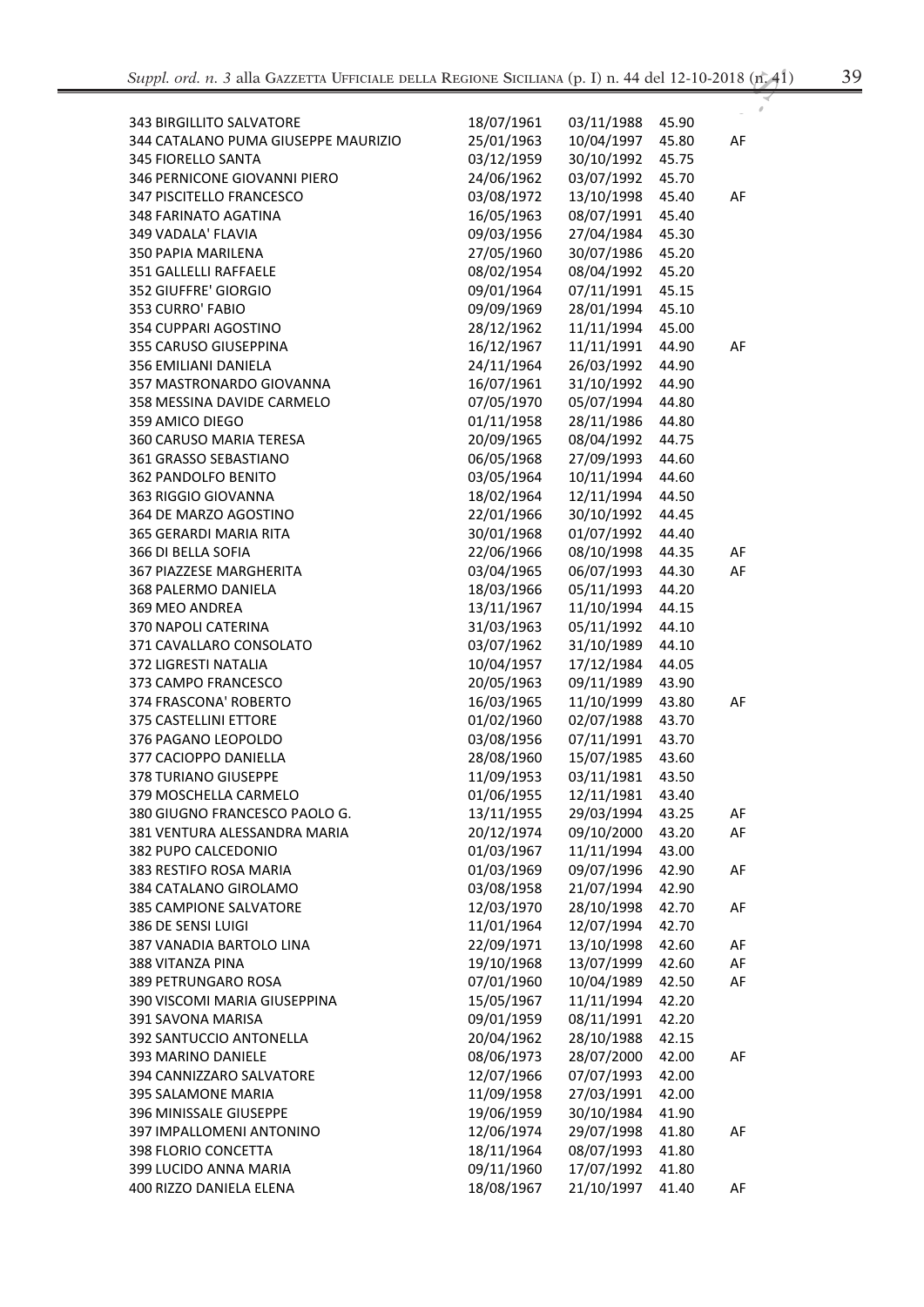| -2018 (n. 41) |  |
|---------------|--|
|               |  |
|               |  |

| <b>343 BIRGILLITO SALVATORE</b>     | 18/07/1961 | 03/11/1988 | 45.90 |    |
|-------------------------------------|------------|------------|-------|----|
| 344 CATALANO PUMA GIUSEPPE MAURIZIO | 25/01/1963 | 10/04/1997 | 45.80 | AF |
| <b>345 FIORELLO SANTA</b>           | 03/12/1959 | 30/10/1992 | 45.75 |    |
| 346 PERNICONE GIOVANNI PIERO        | 24/06/1962 | 03/07/1992 | 45.70 |    |
| 347 PISCITELLO FRANCESCO            | 03/08/1972 | 13/10/1998 | 45.40 | AF |
|                                     |            | 08/07/1991 |       |    |
| <b>348 FARINATO AGATINA</b>         | 16/05/1963 |            | 45.40 |    |
| 349 VADALA' FLAVIA                  | 09/03/1956 | 27/04/1984 | 45.30 |    |
| 350 PAPIA MARILENA                  | 27/05/1960 | 30/07/1986 | 45.20 |    |
| 351 GALLELLI RAFFAELE               | 08/02/1954 | 08/04/1992 | 45.20 |    |
| 352 GIUFFRE' GIORGIO                | 09/01/1964 | 07/11/1991 | 45.15 |    |
| 353 CURRO' FABIO                    | 09/09/1969 | 28/01/1994 | 45.10 |    |
| 354 CUPPARI AGOSTINO                | 28/12/1962 | 11/11/1994 | 45.00 |    |
| 355 CARUSO GIUSEPPINA               | 16/12/1967 | 11/11/1991 | 44.90 | AF |
| 356 EMILIANI DANIELA                | 24/11/1964 | 26/03/1992 | 44.90 |    |
| 357 MASTRONARDO GIOVANNA            | 16/07/1961 | 31/10/1992 | 44.90 |    |
| 358 MESSINA DAVIDE CARMELO          | 07/05/1970 | 05/07/1994 | 44.80 |    |
| 359 AMICO DIEGO                     | 01/11/1958 | 28/11/1986 | 44.80 |    |
| 360 CARUSO MARIA TERESA             | 20/09/1965 | 08/04/1992 | 44.75 |    |
| 361 GRASSO SEBASTIANO               | 06/05/1968 | 27/09/1993 | 44.60 |    |
| 362 PANDOLFO BENITO                 | 03/05/1964 | 10/11/1994 | 44.60 |    |
| 363 RIGGIO GIOVANNA                 | 18/02/1964 | 12/11/1994 | 44.50 |    |
| 364 DE MARZO AGOSTINO               | 22/01/1966 | 30/10/1992 | 44.45 |    |
| 365 GERARDI MARIA RITA              | 30/01/1968 | 01/07/1992 | 44.40 |    |
| 366 DI BELLA SOFIA                  | 22/06/1966 | 08/10/1998 | 44.35 | AF |
| 367 PIAZZESE MARGHERITA             | 03/04/1965 | 06/07/1993 | 44.30 | AF |
| 368 PALERMO DANIELA                 | 18/03/1966 | 05/11/1993 | 44.20 |    |
| 369 MEO ANDREA                      | 13/11/1967 | 11/10/1994 | 44.15 |    |
| 370 NAPOLI CATERINA                 | 31/03/1963 | 05/11/1992 | 44.10 |    |
| 371 CAVALLARO CONSOLATO             | 03/07/1962 | 31/10/1989 | 44.10 |    |
| 372 LIGRESTI NATALIA                | 10/04/1957 | 17/12/1984 | 44.05 |    |
| 373 CAMPO FRANCESCO                 | 20/05/1963 | 09/11/1989 | 43.90 |    |
| 374 FRASCONA' ROBERTO               | 16/03/1965 | 11/10/1999 | 43.80 | AF |
| 375 CASTELLINI ETTORE               | 01/02/1960 | 02/07/1988 | 43.70 |    |
| 376 PAGANO LEOPOLDO                 | 03/08/1956 | 07/11/1991 | 43.70 |    |
| 377 CACIOPPO DANIELLA               | 28/08/1960 | 15/07/1985 | 43.60 |    |
| 378 TURIANO GIUSEPPE                | 11/09/1953 | 03/11/1981 | 43.50 |    |
| 379 MOSCHELLA CARMELO               | 01/06/1955 | 12/11/1981 | 43.40 |    |
| 380 GIUGNO FRANCESCO PAOLO G.       | 13/11/1955 | 29/03/1994 | 43.25 | AF |
| 381 VENTURA ALESSANDRA MARIA        | 20/12/1974 | 09/10/2000 | 43.20 | AF |
| 382 PUPO CALCEDONIO                 | 01/03/1967 | 11/11/1994 | 43.00 |    |
| 383 RESTIFO ROSA MARIA              | 01/03/1969 | 09/07/1996 | 42.90 | AF |
| 384 CATALANO GIROLAMO               | 03/08/1958 | 21/07/1994 | 42.90 |    |
| 385 CAMPIONE SALVATORE              | 12/03/1970 | 28/10/1998 | 42.70 | AF |
| 386 DE SENSI LUIGI                  | 11/01/1964 | 12/07/1994 | 42.70 |    |
| 387 VANADIA BARTOLO LINA            | 22/09/1971 | 13/10/1998 | 42.60 | AF |
| 388 VITANZA PINA                    | 19/10/1968 | 13/07/1999 | 42.60 | AF |
| 389 PETRUNGARO ROSA                 | 07/01/1960 | 10/04/1989 | 42.50 | AF |
| 390 VISCOMI MARIA GIUSEPPINA        | 15/05/1967 | 11/11/1994 | 42.20 |    |
| 391 SAVONA MARISA                   | 09/01/1959 | 08/11/1991 | 42.20 |    |
| 392 SANTUCCIO ANTONELLA             | 20/04/1962 | 28/10/1988 | 42.15 |    |
| 393 MARINO DANIELE                  | 08/06/1973 | 28/07/2000 | 42.00 | AF |
| 394 CANNIZZARO SALVATORE            | 12/07/1966 | 07/07/1993 | 42.00 |    |
| 395 SALAMONE MARIA                  | 11/09/1958 | 27/03/1991 | 42.00 |    |
| 396 MINISSALE GIUSEPPE              | 19/06/1959 | 30/10/1984 | 41.90 |    |
| 397 IMPALLOMENI ANTONINO            | 12/06/1974 | 29/07/1998 | 41.80 | AF |
| 398 FLORIO CONCETTA                 | 18/11/1964 | 08/07/1993 | 41.80 |    |
|                                     | 09/11/1960 | 17/07/1992 |       |    |
| 399 LUCIDO ANNA MARIA               |            |            | 41.80 |    |
| 400 RIZZO DANIELA ELENA             | 18/08/1967 | 21/10/1997 | 41.40 | AF |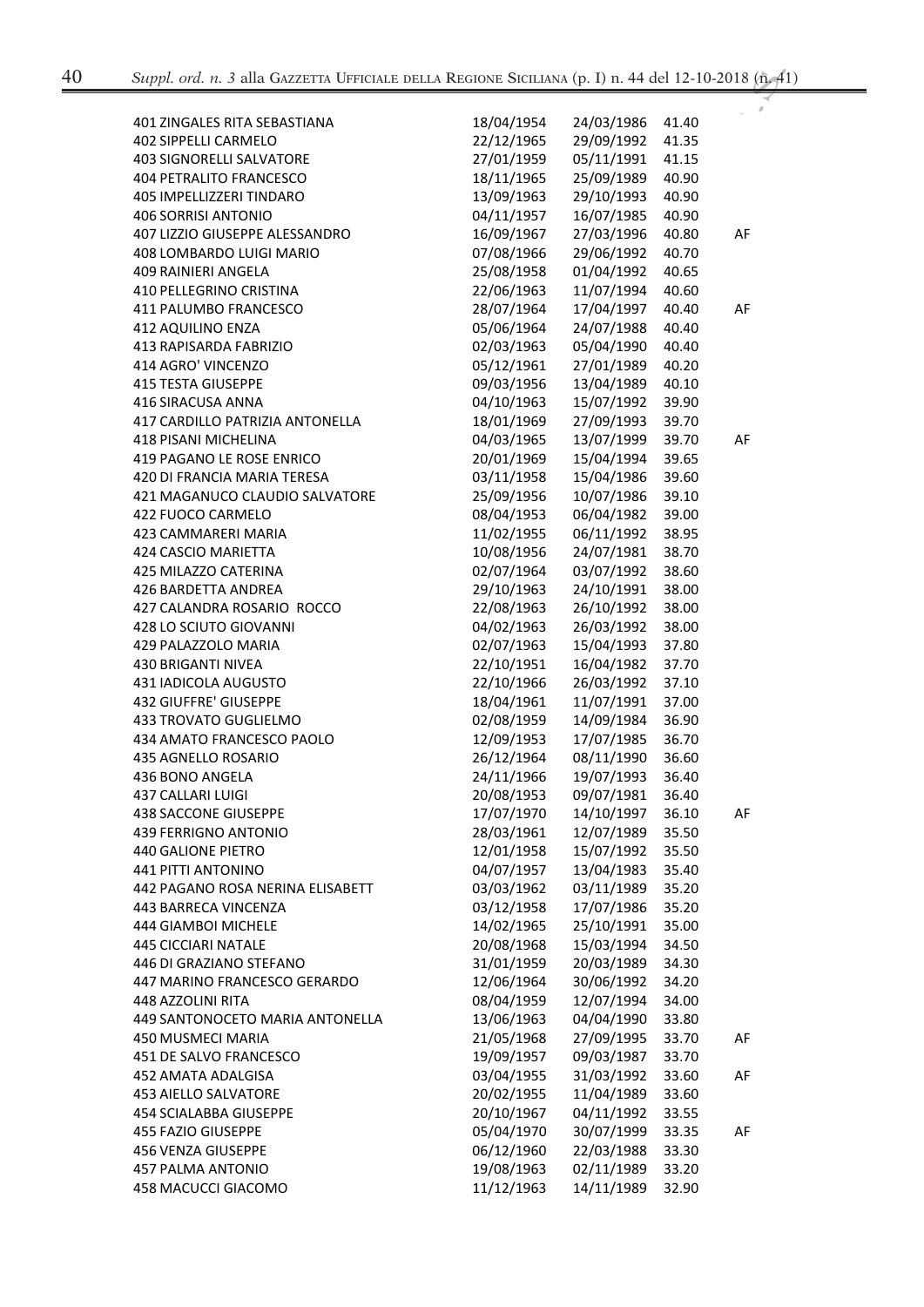| 401 ZINGALES RITA SEBASTIANA     | 18/04/1954 | 24/03/1986 | 41.40 |    |
|----------------------------------|------------|------------|-------|----|
| 402 SIPPELLI CARMELO             | 22/12/1965 | 29/09/1992 | 41.35 |    |
| <b>403 SIGNORELLI SALVATORE</b>  | 27/01/1959 | 05/11/1991 | 41.15 |    |
| <b>404 PETRALITO FRANCESCO</b>   | 18/11/1965 | 25/09/1989 | 40.90 |    |
| 405 IMPELLIZZERI TINDARO         | 13/09/1963 | 29/10/1993 | 40.90 |    |
| 406 SORRISI ANTONIO              | 04/11/1957 | 16/07/1985 | 40.90 |    |
| 407 LIZZIO GIUSEPPE ALESSANDRO   | 16/09/1967 | 27/03/1996 | 40.80 | AF |
| 408 LOMBARDO LUIGI MARIO         | 07/08/1966 | 29/06/1992 | 40.70 |    |
| 409 RAINIERI ANGELA              | 25/08/1958 | 01/04/1992 | 40.65 |    |
| 410 PELLEGRINO CRISTINA          | 22/06/1963 | 11/07/1994 | 40.60 |    |
| <b>411 PALUMBO FRANCESCO</b>     | 28/07/1964 | 17/04/1997 | 40.40 | AF |
| 412 AQUILINO ENZA                | 05/06/1964 | 24/07/1988 | 40.40 |    |
| 413 RAPISARDA FABRIZIO           | 02/03/1963 | 05/04/1990 | 40.40 |    |
| 414 AGRO' VINCENZO               | 05/12/1961 | 27/01/1989 | 40.20 |    |
| <b>415 TESTA GIUSEPPE</b>        | 09/03/1956 | 13/04/1989 | 40.10 |    |
| 416 SIRACUSA ANNA                | 04/10/1963 | 15/07/1992 | 39.90 |    |
| 417 CARDILLO PATRIZIA ANTONELLA  | 18/01/1969 | 27/09/1993 | 39.70 |    |
| 418 PISANI MICHELINA             | 04/03/1965 | 13/07/1999 | 39.70 | AF |
| 419 PAGANO LE ROSE ENRICO        | 20/01/1969 | 15/04/1994 | 39.65 |    |
| 420 DI FRANCIA MARIA TERESA      | 03/11/1958 | 15/04/1986 | 39.60 |    |
| 421 MAGANUCO CLAUDIO SALVATORE   | 25/09/1956 | 10/07/1986 | 39.10 |    |
| 422 FUOCO CARMELO                | 08/04/1953 | 06/04/1982 | 39.00 |    |
| 423 CAMMARERI MARIA              | 11/02/1955 | 06/11/1992 | 38.95 |    |
| 424 CASCIO MARIETTA              | 10/08/1956 | 24/07/1981 | 38.70 |    |
| 425 MILAZZO CATERINA             | 02/07/1964 | 03/07/1992 | 38.60 |    |
| 426 BARDETTA ANDREA              | 29/10/1963 | 24/10/1991 | 38.00 |    |
| 427 CALANDRA ROSARIO ROCCO       | 22/08/1963 | 26/10/1992 | 38.00 |    |
| 428 LO SCIUTO GIOVANNI           | 04/02/1963 | 26/03/1992 | 38.00 |    |
| 429 PALAZZOLO MARIA              | 02/07/1963 | 15/04/1993 | 37.80 |    |
| <b>430 BRIGANTI NIVEA</b>        | 22/10/1951 | 16/04/1982 | 37.70 |    |
| 431 IADICOLA AUGUSTO             | 22/10/1966 | 26/03/1992 | 37.10 |    |
| 432 GIUFFRE' GIUSEPPE            | 18/04/1961 | 11/07/1991 | 37.00 |    |
| 433 TROVATO GUGLIELMO            | 02/08/1959 | 14/09/1984 | 36.90 |    |
| 434 AMATO FRANCESCO PAOLO        | 12/09/1953 | 17/07/1985 | 36.70 |    |
| 435 AGNELLO ROSARIO              | 26/12/1964 | 08/11/1990 | 36.60 |    |
| 436 BONO ANGELA                  | 24/11/1966 | 19/07/1993 | 36.40 |    |
| 437 CALLARI LUIGI                | 20/08/1953 | 09/07/1981 | 36.40 |    |
| 438 SACCONE GIUSEPPE             | 17/07/1970 | 14/10/1997 | 36.10 | AF |
| 439 FERRIGNO ANTONIO             | 28/03/1961 | 12/07/1989 | 35.50 |    |
| <b>440 GALIONE PIETRO</b>        | 12/01/1958 | 15/07/1992 | 35.50 |    |
| <b>441 PITTI ANTONINO</b>        | 04/07/1957 | 13/04/1983 | 35.40 |    |
| 442 PAGANO ROSA NERINA ELISABETT | 03/03/1962 | 03/11/1989 | 35.20 |    |
| 443 BARRECA VINCENZA             | 03/12/1958 | 17/07/1986 | 35.20 |    |
| 444 GIAMBOI MICHELE              | 14/02/1965 | 25/10/1991 | 35.00 |    |
| <b>445 CICCIARI NATALE</b>       | 20/08/1968 | 15/03/1994 | 34.50 |    |
|                                  |            |            |       |    |
| 446 DI GRAZIANO STEFANO          | 31/01/1959 | 20/03/1989 | 34.30 |    |
| 447 MARINO FRANCESCO GERARDO     | 12/06/1964 | 30/06/1992 | 34.20 |    |
| 448 AZZOLINI RITA                | 08/04/1959 | 12/07/1994 | 34.00 |    |
| 449 SANTONOCETO MARIA ANTONELLA  | 13/06/1963 | 04/04/1990 | 33.80 |    |
| 450 MUSMECI MARIA                | 21/05/1968 | 27/09/1995 | 33.70 | AF |
| 451 DE SALVO FRANCESCO           | 19/09/1957 | 09/03/1987 | 33.70 |    |
| 452 AMATA ADALGISA               | 03/04/1955 | 31/03/1992 | 33.60 | AF |
| <b>453 AIELLO SALVATORE</b>      | 20/02/1955 | 11/04/1989 | 33.60 |    |
| 454 SCIALABBA GIUSEPPE           | 20/10/1967 | 04/11/1992 | 33.55 |    |
| 455 FAZIO GIUSEPPE               | 05/04/1970 | 30/07/1999 | 33.35 | AF |
| 456 VENZA GIUSEPPE               | 06/12/1960 | 22/03/1988 | 33.30 |    |
| 457 PALMA ANTONIO                | 19/08/1963 | 02/11/1989 | 33.20 |    |
| 458 MACUCCI GIACOMO              | 11/12/1963 | 14/11/1989 | 32.90 |    |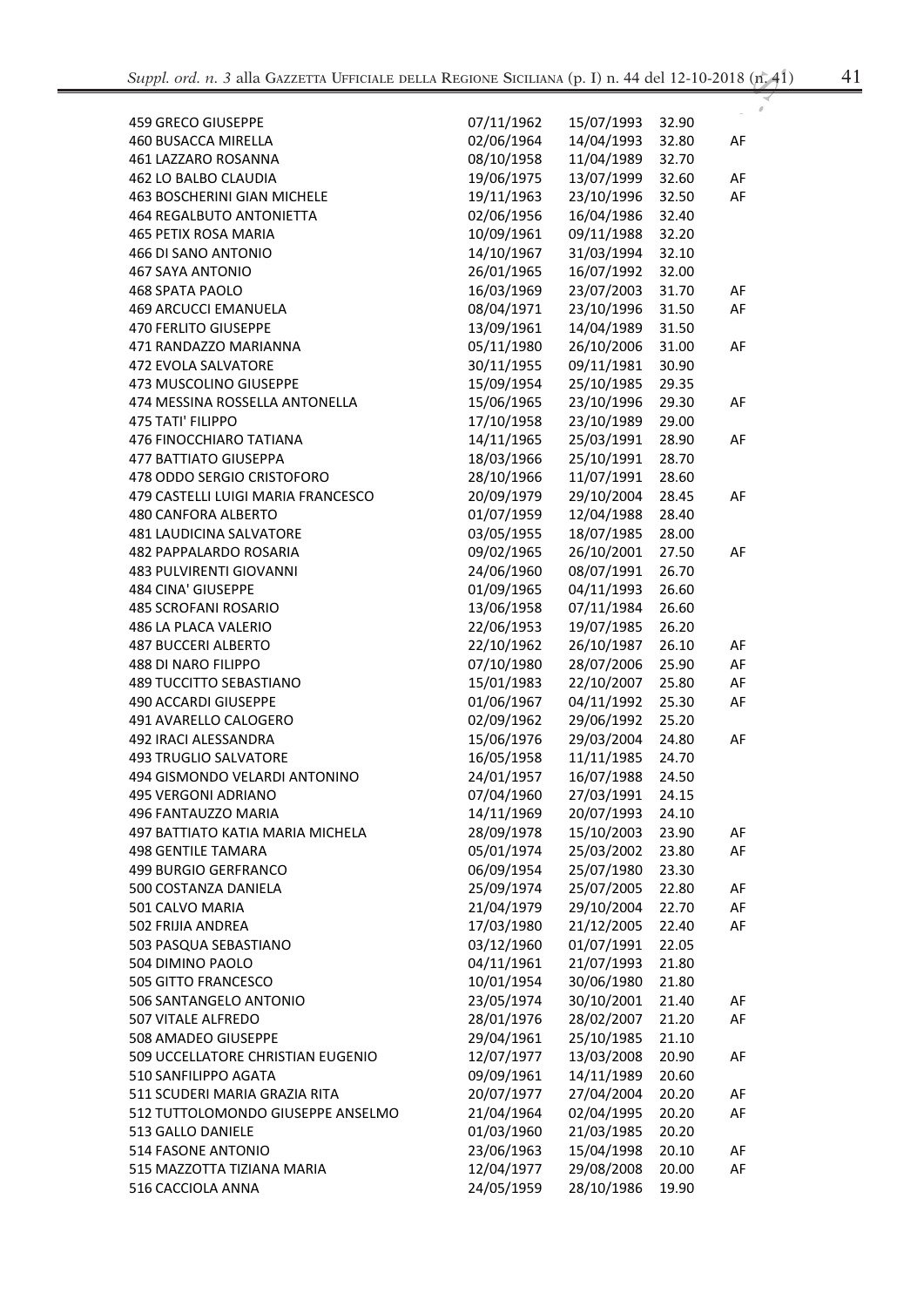| v<br>۰ |     |
|--------|-----|
| e e    |     |
|        |     |
| ×      | . . |

| <b>459 GRECO GIUSEPPE</b>          | 07/11/1962 | 15/07/1993 | 32.90 |    |
|------------------------------------|------------|------------|-------|----|
| 460 BUSACCA MIRELLA                | 02/06/1964 | 14/04/1993 | 32.80 | AF |
| 461 LAZZARO ROSANNA                | 08/10/1958 | 11/04/1989 | 32.70 |    |
| 462 LO BALBO CLAUDIA               | 19/06/1975 | 13/07/1999 | 32.60 | AF |
| <b>463 BOSCHERINI GIAN MICHELE</b> | 19/11/1963 | 23/10/1996 | 32.50 | AF |
| <b>464 REGALBUTO ANTONIETTA</b>    | 02/06/1956 | 16/04/1986 | 32.40 |    |
| 465 PETIX ROSA MARIA               | 10/09/1961 | 09/11/1988 | 32.20 |    |
| 466 DI SANO ANTONIO                | 14/10/1967 | 31/03/1994 | 32.10 |    |
| <b>467 SAYA ANTONIO</b>            | 26/01/1965 | 16/07/1992 | 32.00 |    |
| 468 SPATA PAOLO                    | 16/03/1969 | 23/07/2003 | 31.70 | AF |
| <b>469 ARCUCCI EMANUELA</b>        | 08/04/1971 | 23/10/1996 | 31.50 | AF |
| <b>470 FERLITO GIUSEPPE</b>        | 13/09/1961 | 14/04/1989 | 31.50 |    |
| 471 RANDAZZO MARIANNA              | 05/11/1980 | 26/10/2006 | 31.00 | AF |
| 472 EVOLA SALVATORE                | 30/11/1955 | 09/11/1981 | 30.90 |    |
| 473 MUSCOLINO GIUSEPPE             | 15/09/1954 | 25/10/1985 | 29.35 |    |
| 474 MESSINA ROSSELLA ANTONELLA     | 15/06/1965 | 23/10/1996 | 29.30 | AF |
| 475 TATI' FILIPPO                  | 17/10/1958 | 23/10/1989 | 29.00 |    |
| 476 FINOCCHIARO TATIANA            | 14/11/1965 | 25/03/1991 | 28.90 | AF |
| <b>477 BATTIATO GIUSEPPA</b>       | 18/03/1966 | 25/10/1991 | 28.70 |    |
| 478 ODDO SERGIO CRISTOFORO         | 28/10/1966 | 11/07/1991 | 28.60 |    |
| 479 CASTELLI LUIGI MARIA FRANCESCO | 20/09/1979 | 29/10/2004 | 28.45 | AF |
| 480 CANFORA ALBERTO                | 01/07/1959 | 12/04/1988 | 28.40 |    |
| <b>481 LAUDICINA SALVATORE</b>     | 03/05/1955 | 18/07/1985 | 28.00 |    |
|                                    |            |            |       | AF |
| 482 PAPPALARDO ROSARIA             | 09/02/1965 | 26/10/2001 | 27.50 |    |
| <b>483 PULVIRENTI GIOVANNI</b>     | 24/06/1960 | 08/07/1991 | 26.70 |    |
| 484 CINA' GIUSEPPE                 | 01/09/1965 | 04/11/1993 | 26.60 |    |
| <b>485 SCROFANI ROSARIO</b>        | 13/06/1958 | 07/11/1984 | 26.60 |    |
| 486 LA PLACA VALERIO               | 22/06/1953 | 19/07/1985 | 26.20 |    |
| <b>487 BUCCERI ALBERTO</b>         | 22/10/1962 | 26/10/1987 | 26.10 | AF |
| 488 DI NARO FILIPPO                | 07/10/1980 | 28/07/2006 | 25.90 | AF |
| <b>489 TUCCITTO SEBASTIANO</b>     | 15/01/1983 | 22/10/2007 | 25.80 | AF |
| 490 ACCARDI GIUSEPPE               | 01/06/1967 | 04/11/1992 | 25.30 | AF |
| 491 AVARELLO CALOGERO              | 02/09/1962 | 29/06/1992 | 25.20 |    |
| 492 IRACI ALESSANDRA               | 15/06/1976 | 29/03/2004 | 24.80 | AF |
| <b>493 TRUGLIO SALVATORE</b>       | 16/05/1958 | 11/11/1985 | 24.70 |    |
| 494 GISMONDO VELARDI ANTONINO      | 24/01/1957 | 16/07/1988 | 24.50 |    |
| 495 VERGONI ADRIANO                | 07/04/1960 | 27/03/1991 | 24.15 |    |
| 496 FANTAUZZO MARIA                | 14/11/1969 | 20/07/1993 | 24.10 |    |
| 497 BATTIATO KATIA MARIA MICHELA   | 28/09/1978 | 15/10/2003 | 23.90 | AF |
| <b>498 GENTILE TAMARA</b>          | 05/01/1974 | 25/03/2002 | 23.80 | AF |
| 499 BURGIO GERFRANCO               | 06/09/1954 | 25/07/1980 | 23.30 |    |
| 500 COSTANZA DANIELA               | 25/09/1974 | 25/07/2005 | 22.80 | AF |
| 501 CALVO MARIA                    | 21/04/1979 | 29/10/2004 | 22.70 | AF |
| 502 FRIJIA ANDREA                  | 17/03/1980 | 21/12/2005 | 22.40 | AF |
| 503 PASQUA SEBASTIANO              | 03/12/1960 | 01/07/1991 | 22.05 |    |
| 504 DIMINO PAOLO                   | 04/11/1961 | 21/07/1993 | 21.80 |    |
| 505 GITTO FRANCESCO                | 10/01/1954 | 30/06/1980 | 21.80 |    |
| 506 SANTANGELO ANTONIO             | 23/05/1974 | 30/10/2001 | 21.40 | AF |
| 507 VITALE ALFREDO                 | 28/01/1976 | 28/02/2007 | 21.20 | AF |
| 508 AMADEO GIUSEPPE                | 29/04/1961 | 25/10/1985 | 21.10 |    |
| 509 UCCELLATORE CHRISTIAN EUGENIO  | 12/07/1977 | 13/03/2008 | 20.90 | AF |
| 510 SANFILIPPO AGATA               | 09/09/1961 | 14/11/1989 | 20.60 |    |
| 511 SCUDERI MARIA GRAZIA RITA      | 20/07/1977 | 27/04/2004 | 20.20 | AF |
| 512 TUTTOLOMONDO GIUSEPPE ANSELMO  | 21/04/1964 | 02/04/1995 | 20.20 | AF |
| 513 GALLO DANIELE                  | 01/03/1960 | 21/03/1985 | 20.20 |    |
| 514 FASONE ANTONIO                 | 23/06/1963 | 15/04/1998 | 20.10 | AF |
| 515 MAZZOTTA TIZIANA MARIA         | 12/04/1977 | 29/08/2008 | 20.00 | AF |
| 516 CACCIOLA ANNA                  | 24/05/1959 | 28/10/1986 | 19.90 |    |
|                                    |            |            |       |    |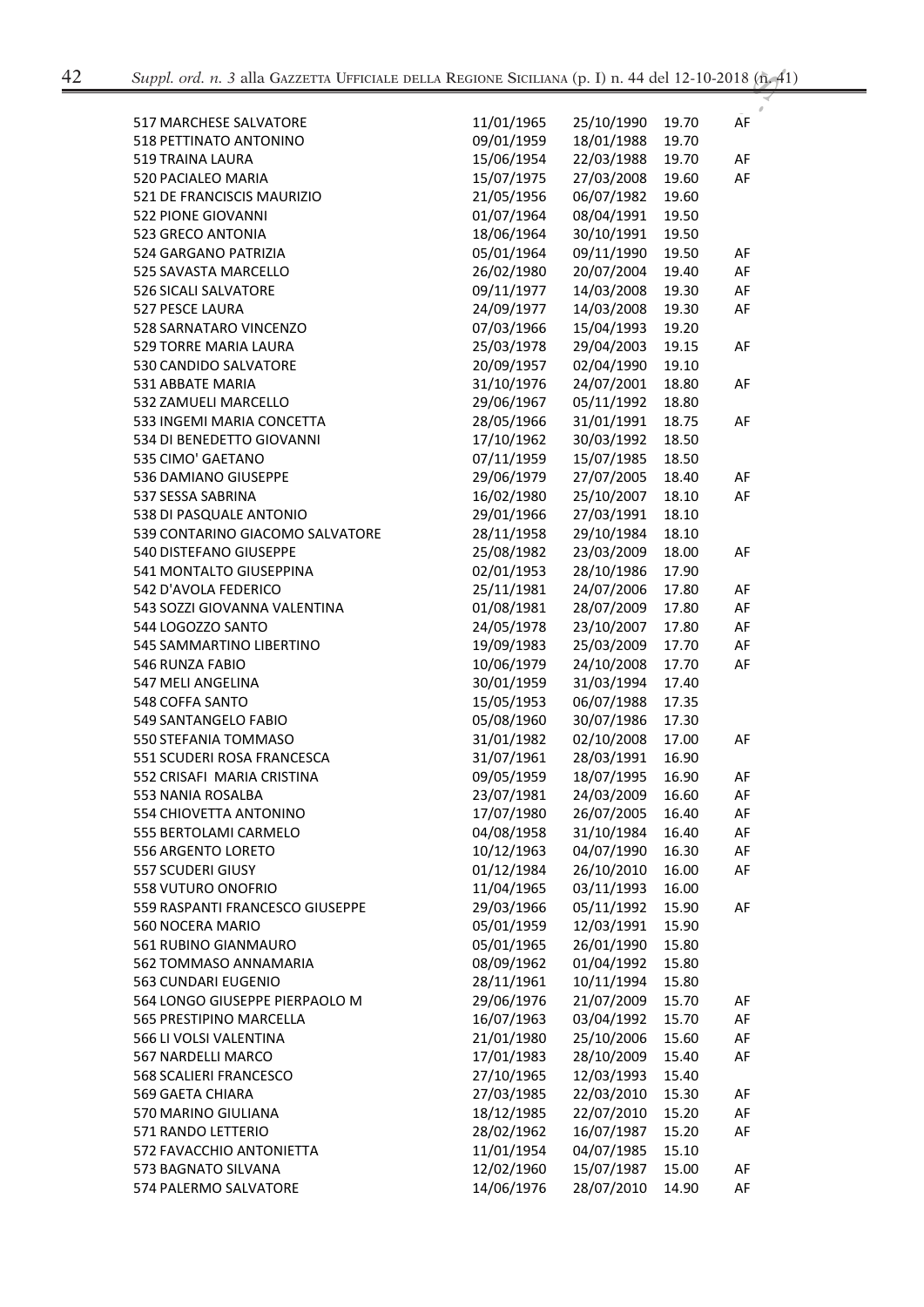| <b>517 MARCHESE SALVATORE</b>                            | 11/01/1965               | 25/10/1990               | 19.70          | AF |
|----------------------------------------------------------|--------------------------|--------------------------|----------------|----|
| 518 PETTINATO ANTONINO                                   | 09/01/1959               | 18/01/1988               | 19.70          |    |
| 519 TRAINA LAURA                                         | 15/06/1954               | 22/03/1988               | 19.70          | AF |
| 520 PACIALEO MARIA                                       | 15/07/1975               | 27/03/2008               | 19.60          | AF |
| 521 DE FRANCISCIS MAURIZIO                               | 21/05/1956               | 06/07/1982               | 19.60          |    |
| 522 PIONE GIOVANNI                                       | 01/07/1964               | 08/04/1991               | 19.50          |    |
| 523 GRECO ANTONIA                                        | 18/06/1964               | 30/10/1991               | 19.50          |    |
| 524 GARGANO PATRIZIA                                     | 05/01/1964               | 09/11/1990               | 19.50          | AF |
| 525 SAVASTA MARCELLO                                     | 26/02/1980               | 20/07/2004               | 19.40          | AF |
| 526 SICALI SALVATORE                                     | 09/11/1977               | 14/03/2008               | 19.30          | AF |
| 527 PESCE LAURA                                          | 24/09/1977               | 14/03/2008               | 19.30          | AF |
| 528 SARNATARO VINCENZO                                   | 07/03/1966               | 15/04/1993               | 19.20          |    |
| 529 TORRE MARIA LAURA                                    | 25/03/1978               | 29/04/2003               | 19.15          | AF |
| 530 CANDIDO SALVATORE                                    | 20/09/1957               | 02/04/1990               | 19.10          |    |
| 531 ABBATE MARIA                                         | 31/10/1976               | 24/07/2001               | 18.80          | AF |
| 532 ZAMUELI MARCELLO                                     | 29/06/1967               | 05/11/1992               | 18.80          |    |
| 533 INGEMI MARIA CONCETTA                                | 28/05/1966               | 31/01/1991               | 18.75          | AF |
| 534 DI BENEDETTO GIOVANNI                                | 17/10/1962               | 30/03/1992               | 18.50          |    |
| 535 CIMO' GAETANO                                        | 07/11/1959               | 15/07/1985               | 18.50          |    |
| 536 DAMIANO GIUSEPPE                                     | 29/06/1979               | 27/07/2005               | 18.40          | AF |
| 537 SESSA SABRINA                                        | 16/02/1980               | 25/10/2007               | 18.10          | AF |
| 538 DI PASQUALE ANTONIO                                  | 29/01/1966               | 27/03/1991               | 18.10          |    |
| 539 CONTARINO GIACOMO SALVATORE                          | 28/11/1958               | 29/10/1984               | 18.10          |    |
| 540 DISTEFANO GIUSEPPE                                   | 25/08/1982               | 23/03/2009               | 18.00          | AF |
| 541 MONTALTO GIUSEPPINA                                  | 02/01/1953               | 28/10/1986               | 17.90          |    |
| 542 D'AVOLA FEDERICO                                     | 25/11/1981               | 24/07/2006               | 17.80          | AF |
| 543 SOZZI GIOVANNA VALENTINA                             | 01/08/1981               | 28/07/2009               | 17.80          | AF |
| 544 LOGOZZO SANTO                                        | 24/05/1978               | 23/10/2007               | 17.80          | AF |
| 545 SAMMARTINO LIBERTINO                                 | 19/09/1983               | 25/03/2009               | 17.70          | AF |
| 546 RUNZA FABIO                                          | 10/06/1979               | 24/10/2008               | 17.70          | AF |
| 547 MELI ANGELINA                                        | 30/01/1959               | 31/03/1994               | 17.40          |    |
| 548 COFFA SANTO                                          | 15/05/1953               | 06/07/1988               | 17.35          |    |
|                                                          | 05/08/1960               | 30/07/1986               |                |    |
| 549 SANTANGELO FABIO<br>550 STEFANIA TOMMASO             | 31/01/1982               | 02/10/2008               | 17.30<br>17.00 |    |
|                                                          | 31/07/1961               |                          |                | AF |
| 551 SCUDERI ROSA FRANCESCA<br>552 CRISAFI MARIA CRISTINA |                          | 28/03/1991<br>18/07/1995 | 16.90          |    |
|                                                          | 09/05/1959<br>23/07/1981 |                          | 16.90          | AF |
| 553 NANIA ROSALBA                                        |                          | 24/03/2009               | 16.60          | AF |
| 554 CHIOVETTA ANTONINO                                   | 17/07/1980               | 26/07/2005               | 16.40          | AF |
| 555 BERTOLAMI CARMELO                                    | 04/08/1958               | 31/10/1984               | 16.40          | AF |
| 556 ARGENTO LORETO                                       | 10/12/1963               | 04/07/1990               | 16.30          | AF |
| 557 SCUDERI GIUSY                                        | 01/12/1984               | 26/10/2010               | 16.00          | AF |
| 558 VUTURO ONOFRIO                                       | 11/04/1965               | 03/11/1993               | 16.00          |    |
| 559 RASPANTI FRANCESCO GIUSEPPE                          | 29/03/1966               | 05/11/1992               | 15.90          | AF |
| 560 NOCERA MARIO                                         | 05/01/1959               | 12/03/1991               | 15.90          |    |
| 561 RUBINO GIANMAURO                                     | 05/01/1965               | 26/01/1990               | 15.80          |    |
| 562 TOMMASO ANNAMARIA                                    | 08/09/1962               | 01/04/1992               | 15.80          |    |
| 563 CUNDARI EUGENIO                                      | 28/11/1961               | 10/11/1994               | 15.80          |    |
| 564 LONGO GIUSEPPE PIERPAOLO M                           | 29/06/1976               | 21/07/2009               | 15.70          | AF |
| 565 PRESTIPINO MARCELLA                                  | 16/07/1963               | 03/04/1992               | 15.70          | AF |
| 566 LI VOLSI VALENTINA                                   | 21/01/1980               | 25/10/2006               | 15.60          | AF |
| 567 NARDELLI MARCO                                       | 17/01/1983               | 28/10/2009               | 15.40          | AF |
| 568 SCALIERI FRANCESCO                                   | 27/10/1965               | 12/03/1993               | 15.40          |    |
| 569 GAETA CHIARA                                         | 27/03/1985               | 22/03/2010               | 15.30          | AF |
| 570 MARINO GIULIANA                                      | 18/12/1985               | 22/07/2010               | 15.20          | AF |
| 571 RANDO LETTERIO                                       | 28/02/1962               | 16/07/1987               | 15.20          | AF |
| 572 FAVACCHIO ANTONIETTA                                 | 11/01/1954               | 04/07/1985               | 15.10          |    |
| 573 BAGNATO SILVANA                                      | 12/02/1960               | 15/07/1987               | 15.00          | AF |
| 574 PALERMO SALVATORE                                    | 14/06/1976               | 28/07/2010               | 14.90          | AF |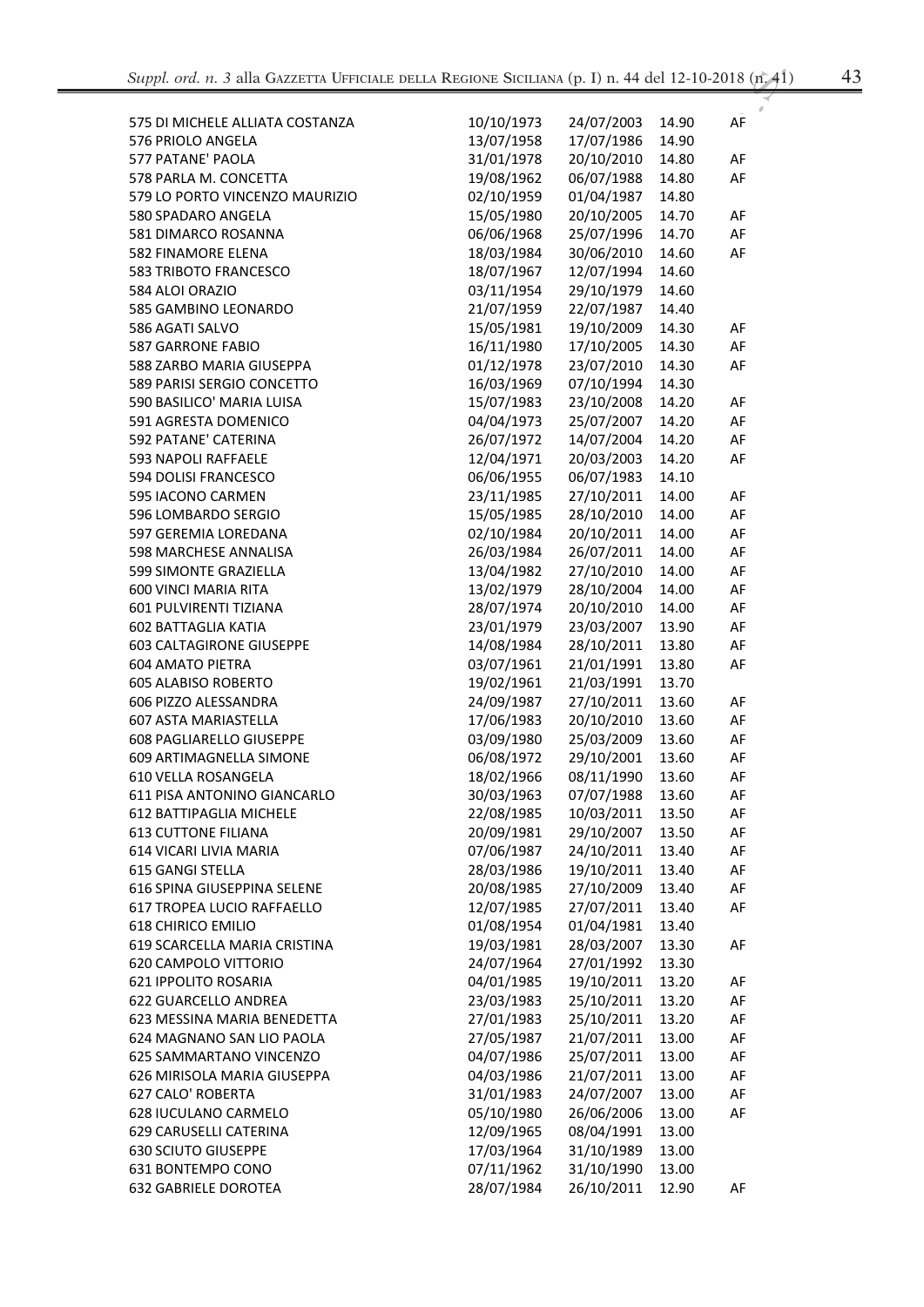| ۰      | ٧<br>×             |
|--------|--------------------|
| ÷<br>× | ٦<br>٧<br>۰.<br>M. |

| 575 DI MICHELE ALLIATA COSTANZA | 10/10/1973 | 24/07/2003 | 14.90 | AF |
|---------------------------------|------------|------------|-------|----|
| 576 PRIOLO ANGELA               | 13/07/1958 | 17/07/1986 | 14.90 |    |
| 577 PATANE' PAOLA               | 31/01/1978 | 20/10/2010 | 14.80 | AF |
| 578 PARLA M. CONCETTA           | 19/08/1962 | 06/07/1988 | 14.80 | AF |
| 579 LO PORTO VINCENZO MAURIZIO  | 02/10/1959 | 01/04/1987 | 14.80 |    |
| 580 SPADARO ANGELA              | 15/05/1980 | 20/10/2005 | 14.70 | AF |
| 581 DIMARCO ROSANNA             | 06/06/1968 | 25/07/1996 | 14.70 | AF |
| 582 FINAMORE ELENA              | 18/03/1984 | 30/06/2010 | 14.60 | AF |
| 583 TRIBOTO FRANCESCO           | 18/07/1967 | 12/07/1994 | 14.60 |    |
| 584 ALOI ORAZIO                 | 03/11/1954 | 29/10/1979 | 14.60 |    |
| 585 GAMBINO LEONARDO            | 21/07/1959 | 22/07/1987 | 14.40 |    |
| 586 AGATI SALVO                 | 15/05/1981 | 19/10/2009 | 14.30 | AF |
| <b>587 GARRONE FABIO</b>        | 16/11/1980 | 17/10/2005 | 14.30 | AF |
| 588 ZARBO MARIA GIUSEPPA        | 01/12/1978 | 23/07/2010 | 14.30 | AF |
| 589 PARISI SERGIO CONCETTO      | 16/03/1969 | 07/10/1994 | 14.30 |    |
| 590 BASILICO' MARIA LUISA       | 15/07/1983 | 23/10/2008 | 14.20 | AF |
| 591 AGRESTA DOMENICO            | 04/04/1973 | 25/07/2007 | 14.20 | AF |
| 592 PATANE' CATERINA            | 26/07/1972 | 14/07/2004 | 14.20 | AF |
| <b>593 NAPOLI RAFFAELE</b>      | 12/04/1971 | 20/03/2003 | 14.20 | AF |
| 594 DOLISI FRANCESCO            | 06/06/1955 | 06/07/1983 | 14.10 |    |
| 595 IACONO CARMEN               | 23/11/1985 | 27/10/2011 | 14.00 | AF |
| 596 LOMBARDO SERGIO             | 15/05/1985 | 28/10/2010 | 14.00 | AF |
| 597 GEREMIA LOREDANA            | 02/10/1984 | 20/10/2011 | 14.00 | AF |
| 598 MARCHESE ANNALISA           | 26/03/1984 | 26/07/2011 | 14.00 | AF |
| 599 SIMONTE GRAZIELLA           | 13/04/1982 | 27/10/2010 | 14.00 | AF |
| <b>600 VINCI MARIA RITA</b>     | 13/02/1979 | 28/10/2004 | 14.00 | AF |
| 601 PULVIRENTI TIZIANA          | 28/07/1974 | 20/10/2010 | 14.00 | AF |
| <b>602 BATTAGLIA KATIA</b>      | 23/01/1979 | 23/03/2007 | 13.90 | AF |
| <b>603 CALTAGIRONE GIUSEPPE</b> | 14/08/1984 | 28/10/2011 | 13.80 | AF |
| <b>604 AMATO PIETRA</b>         | 03/07/1961 | 21/01/1991 | 13.80 | AF |
| <b>605 ALABISO ROBERTO</b>      | 19/02/1961 | 21/03/1991 | 13.70 |    |
| 606 PIZZO ALESSANDRA            | 24/09/1987 | 27/10/2011 | 13.60 | AF |
| 607 ASTA MARIASTELLA            | 17/06/1983 | 20/10/2010 | 13.60 | AF |
| 608 PAGLIARELLO GIUSEPPE        | 03/09/1980 | 25/03/2009 | 13.60 | AF |
| 609 ARTIMAGNELLA SIMONE         | 06/08/1972 | 29/10/2001 | 13.60 | AF |
| 610 VELLA ROSANGELA             | 18/02/1966 | 08/11/1990 | 13.60 | AF |
| 611 PISA ANTONINO GIANCARLO     | 30/03/1963 | 07/07/1988 | 13.60 | AF |
| 612 BATTIPAGLIA MICHELE         | 22/08/1985 | 10/03/2011 | 13.50 | AF |
| <b>613 CUTTONE FILIANA</b>      | 20/09/1981 | 29/10/2007 | 13.50 | AF |
| 614 VICARI LIVIA MARIA          | 07/06/1987 | 24/10/2011 | 13.40 | AF |
| <b>615 GANGI STELLA</b>         | 28/03/1986 | 19/10/2011 | 13.40 | AF |
| 616 SPINA GIUSEPPINA SELENE     | 20/08/1985 | 27/10/2009 | 13.40 | AF |
| 617 TROPEA LUCIO RAFFAELLO      | 12/07/1985 | 27/07/2011 | 13.40 | AF |
| <b>618 CHIRICO EMILIO</b>       | 01/08/1954 | 01/04/1981 | 13.40 |    |
| 619 SCARCELLA MARIA CRISTINA    | 19/03/1981 | 28/03/2007 | 13.30 | AF |
| 620 CAMPOLO VITTORIO            | 24/07/1964 | 27/01/1992 | 13.30 |    |
| 621 IPPOLITO ROSARIA            | 04/01/1985 | 19/10/2011 | 13.20 | AF |
| 622 GUARCELLO ANDREA            | 23/03/1983 | 25/10/2011 | 13.20 | AF |
| 623 MESSINA MARIA BENEDETTA     | 27/01/1983 | 25/10/2011 | 13.20 | AF |
| 624 MAGNANO SAN LIO PAOLA       | 27/05/1987 | 21/07/2011 | 13.00 | AF |
| 625 SAMMARTANO VINCENZO         | 04/07/1986 | 25/07/2011 | 13.00 | AF |
| 626 MIRISOLA MARIA GIUSEPPA     | 04/03/1986 | 21/07/2011 | 13.00 | AF |
| 627 CALO' ROBERTA               | 31/01/1983 | 24/07/2007 | 13.00 | AF |
| 628 IUCULANO CARMELO            | 05/10/1980 | 26/06/2006 | 13.00 | AF |
| 629 CARUSELLI CATERINA          | 12/09/1965 | 08/04/1991 | 13.00 |    |
| <b>630 SCIUTO GIUSEPPE</b>      | 17/03/1964 | 31/10/1989 | 13.00 |    |
| 631 BONTEMPO CONO               | 07/11/1962 | 31/10/1990 | 13.00 |    |
| <b>632 GABRIELE DOROTEA</b>     | 28/07/1984 | 26/10/2011 | 12.90 | AF |
|                                 |            |            |       |    |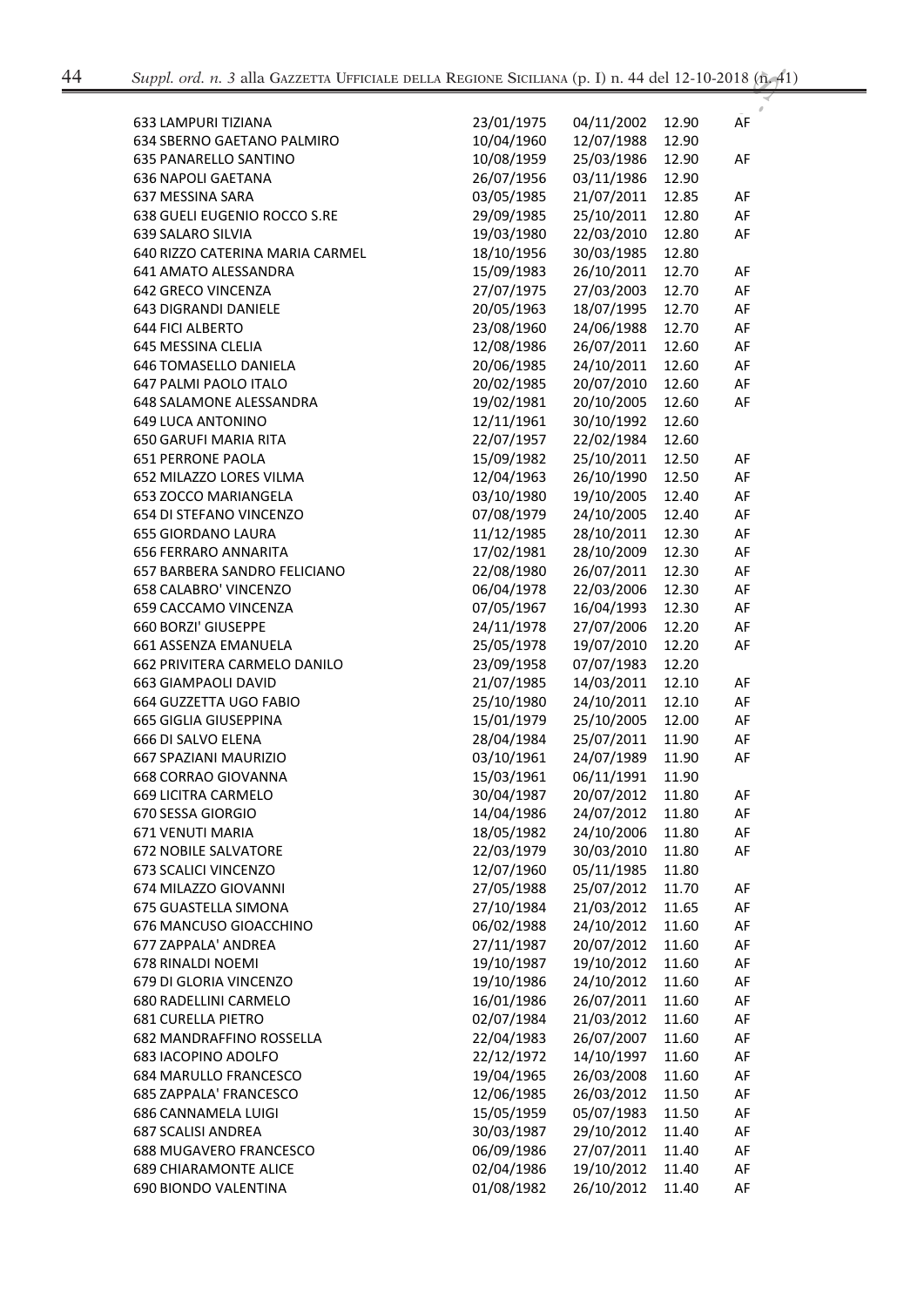| 633 LAMPURI TIZIANA             | 23/01/1975 | 04/11/2002 | 12.90 | AF |
|---------------------------------|------------|------------|-------|----|
| 634 SBERNO GAETANO PALMIRO      | 10/04/1960 | 12/07/1988 | 12.90 |    |
| 635 PANARELLO SANTINO           | 10/08/1959 | 25/03/1986 | 12.90 | AF |
| <b>636 NAPOLI GAETANA</b>       | 26/07/1956 | 03/11/1986 | 12.90 |    |
| 637 MESSINA SARA                | 03/05/1985 | 21/07/2011 | 12.85 | AF |
| 638 GUELI EUGENIO ROCCO S.RE    | 29/09/1985 | 25/10/2011 | 12.80 | AF |
| 639 SALARO SILVIA               | 19/03/1980 | 22/03/2010 | 12.80 | AF |
| 640 RIZZO CATERINA MARIA CARMEL | 18/10/1956 | 30/03/1985 | 12.80 |    |
| 641 AMATO ALESSANDRA            | 15/09/1983 | 26/10/2011 | 12.70 | AF |
| 642 GRECO VINCENZA              | 27/07/1975 | 27/03/2003 | 12.70 | AF |
| 643 DIGRANDI DANIELE            | 20/05/1963 | 18/07/1995 | 12.70 | AF |
| <b>644 FICI ALBERTO</b>         | 23/08/1960 | 24/06/1988 | 12.70 | AF |
| 645 MESSINA CLELIA              | 12/08/1986 | 26/07/2011 | 12.60 | AF |
| 646 TOMASELLO DANIELA           | 20/06/1985 | 24/10/2011 | 12.60 | AF |
| 647 PALMI PAOLO ITALO           | 20/02/1985 | 20/07/2010 | 12.60 | AF |
| 648 SALAMONE ALESSANDRA         | 19/02/1981 | 20/10/2005 | 12.60 | AF |
| <b>649 LUCA ANTONINO</b>        | 12/11/1961 | 30/10/1992 | 12.60 |    |
| 650 GARUFI MARIA RITA           | 22/07/1957 | 22/02/1984 | 12.60 |    |
| <b>651 PERRONE PAOLA</b>        | 15/09/1982 | 25/10/2011 | 12.50 | AF |
| 652 MILAZZO LORES VILMA         | 12/04/1963 | 26/10/1990 | 12.50 | AF |
| 653 ZOCCO MARIANGELA            | 03/10/1980 | 19/10/2005 | 12.40 | AF |
| 654 DI STEFANO VINCENZO         | 07/08/1979 | 24/10/2005 | 12.40 | AF |
| <b>655 GIORDANO LAURA</b>       | 11/12/1985 | 28/10/2011 | 12.30 | AF |
| <b>656 FERRARO ANNARITA</b>     | 17/02/1981 | 28/10/2009 | 12.30 | AF |
| 657 BARBERA SANDRO FELICIANO    | 22/08/1980 | 26/07/2011 | 12.30 | AF |
| 658 CALABRO' VINCENZO           | 06/04/1978 | 22/03/2006 | 12.30 | AF |
| 659 CACCAMO VINCENZA            | 07/05/1967 | 16/04/1993 | 12.30 | AF |
| 660 BORZI' GIUSEPPE             | 24/11/1978 | 27/07/2006 | 12.20 | AF |
| 661 ASSENZA EMANUELA            | 25/05/1978 | 19/07/2010 | 12.20 | AF |
| 662 PRIVITERA CARMELO DANILO    | 23/09/1958 | 07/07/1983 | 12.20 |    |
| <b>663 GIAMPAOLI DAVID</b>      | 21/07/1985 | 14/03/2011 | 12.10 | AF |
| 664 GUZZETTA UGO FABIO          | 25/10/1980 | 24/10/2011 | 12.10 | AF |
| 665 GIGLIA GIUSEPPINA           | 15/01/1979 | 25/10/2005 | 12.00 | AF |
| 666 DI SALVO ELENA              | 28/04/1984 | 25/07/2011 | 11.90 | AF |
| 667 SPAZIANI MAURIZIO           | 03/10/1961 | 24/07/1989 | 11.90 | AF |
| 668 CORRAO GIOVANNA             | 15/03/1961 | 06/11/1991 | 11.90 |    |
| 669 LICITRA CARMELO             | 30/04/1987 | 20/07/2012 | 11.80 | AF |
| 670 SESSA GIORGIO               | 14/04/1986 | 24/07/2012 | 11.80 | AF |
| 671 VENUTI MARIA                | 18/05/1982 | 24/10/2006 | 11.80 | AF |
| <b>672 NOBILE SALVATORE</b>     | 22/03/1979 | 30/03/2010 | 11.80 | AF |
| 673 SCALICI VINCENZO            | 12/07/1960 | 05/11/1985 | 11.80 |    |
| 674 MILAZZO GIOVANNI            | 27/05/1988 | 25/07/2012 | 11.70 | AF |
| 675 GUASTELLA SIMONA            | 27/10/1984 | 21/03/2012 | 11.65 | AF |
| 676 MANCUSO GIOACCHINO          | 06/02/1988 | 24/10/2012 | 11.60 | AF |
| 677 ZAPPALA' ANDREA             | 27/11/1987 | 20/07/2012 | 11.60 | AF |
|                                 | 19/10/1987 | 19/10/2012 |       |    |
| 678 RINALDI NOEMI               |            |            | 11.60 | AF |
| 679 DI GLORIA VINCENZO          | 19/10/1986 | 24/10/2012 | 11.60 | AF |
| 680 RADELLINI CARMELO           | 16/01/1986 | 26/07/2011 | 11.60 | AF |
| <b>681 CURELLA PIETRO</b>       | 02/07/1984 | 21/03/2012 | 11.60 | AF |
| <b>682 MANDRAFFINO ROSSELLA</b> | 22/04/1983 | 26/07/2007 | 11.60 | AF |
| 683 IACOPINO ADOLFO             | 22/12/1972 | 14/10/1997 | 11.60 | AF |
| 684 MARULLO FRANCESCO           | 19/04/1965 | 26/03/2008 | 11.60 | AF |
| 685 ZAPPALA' FRANCESCO          | 12/06/1985 | 26/03/2012 | 11.50 | AF |
| 686 CANNAMELA LUIGI             | 15/05/1959 | 05/07/1983 | 11.50 | AF |
| <b>687 SCALISI ANDREA</b>       | 30/03/1987 | 29/10/2012 | 11.40 | AF |
| 688 MUGAVERO FRANCESCO          | 06/09/1986 | 27/07/2011 | 11.40 | AF |
| <b>689 CHIARAMONTE ALICE</b>    | 02/04/1986 | 19/10/2012 | 11.40 | AF |
| 690 BIONDO VALENTINA            | 01/08/1982 | 26/10/2012 | 11.40 | AF |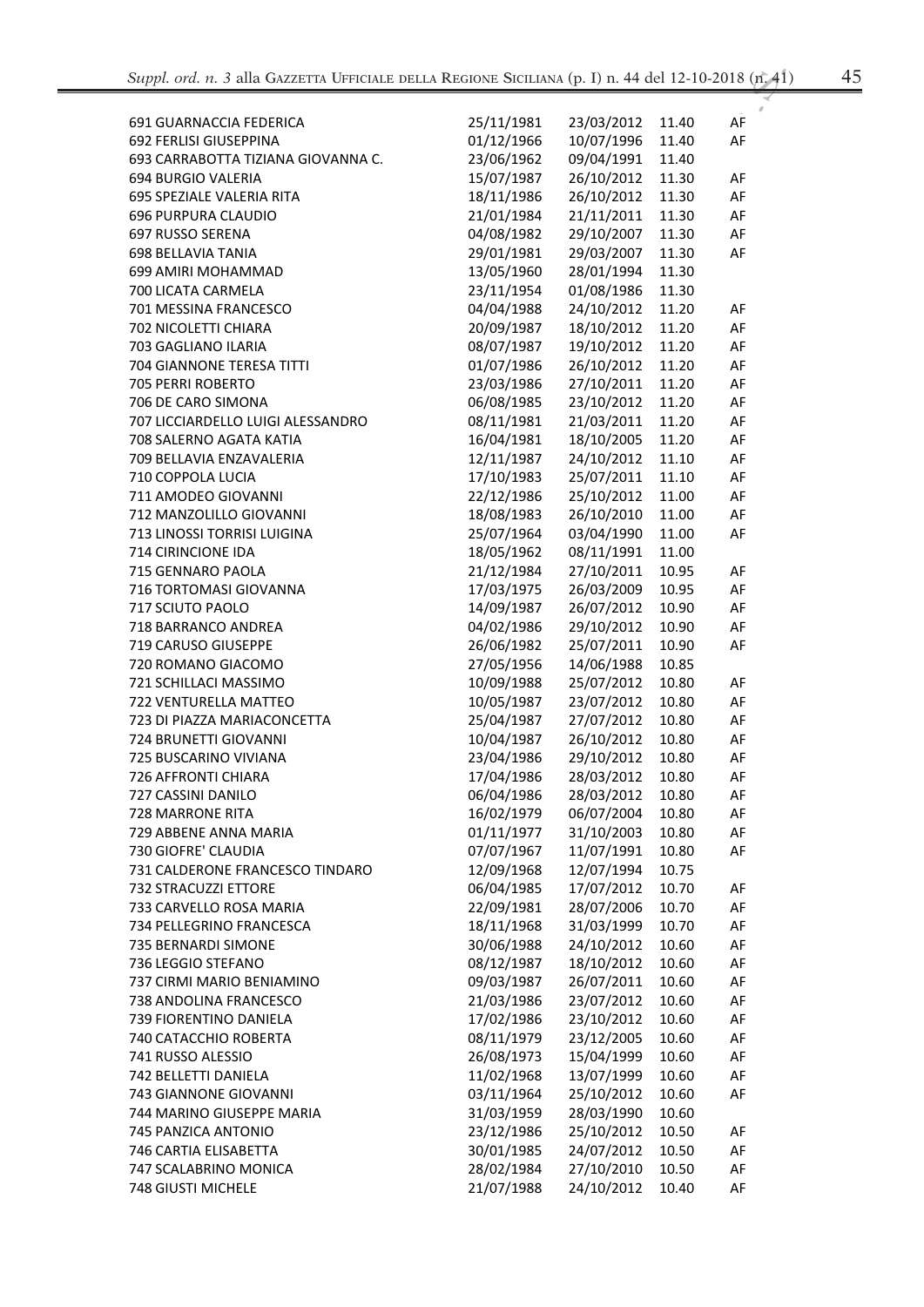| v<br>۰ |         |
|--------|---------|
| ×      | ۰.<br>v |

| 691 GUARNACCIA FEDERICA            | 25/11/1981 | 23/03/2012 | 11.40 | AF |
|------------------------------------|------------|------------|-------|----|
| 692 FERLISI GIUSEPPINA             | 01/12/1966 | 10/07/1996 | 11.40 | AF |
| 693 CARRABOTTA TIZIANA GIOVANNA C. | 23/06/1962 | 09/04/1991 | 11.40 |    |
| 694 BURGIO VALERIA                 | 15/07/1987 | 26/10/2012 | 11.30 | AF |
| 695 SPEZIALE VALERIA RITA          | 18/11/1986 | 26/10/2012 | 11.30 | AF |
| <b>696 PURPURA CLAUDIO</b>         | 21/01/1984 | 21/11/2011 | 11.30 | AF |
| 697 RUSSO SERENA                   | 04/08/1982 | 29/10/2007 | 11.30 | AF |
| <b>698 BELLAVIA TANIA</b>          | 29/01/1981 | 29/03/2007 | 11.30 | AF |
| 699 AMIRI MOHAMMAD                 | 13/05/1960 | 28/01/1994 | 11.30 |    |
| 700 LICATA CARMELA                 | 23/11/1954 | 01/08/1986 | 11.30 |    |
| 701 MESSINA FRANCESCO              | 04/04/1988 | 24/10/2012 | 11.20 |    |
|                                    | 20/09/1987 |            |       | AF |
| 702 NICOLETTI CHIARA               |            | 18/10/2012 | 11.20 | AF |
| 703 GAGLIANO ILARIA                | 08/07/1987 | 19/10/2012 | 11.20 | AF |
| 704 GIANNONE TERESA TITTI          | 01/07/1986 | 26/10/2012 | 11.20 | AF |
| 705 PERRI ROBERTO                  | 23/03/1986 | 27/10/2011 | 11.20 | AF |
| 706 DE CARO SIMONA                 | 06/08/1985 | 23/10/2012 | 11.20 | AF |
| 707 LICCIARDELLO LUIGI ALESSANDRO  | 08/11/1981 | 21/03/2011 | 11.20 | AF |
| 708 SALERNO AGATA KATIA            | 16/04/1981 | 18/10/2005 | 11.20 | AF |
| 709 BELLAVIA ENZAVALERIA           | 12/11/1987 | 24/10/2012 | 11.10 | AF |
| 710 COPPOLA LUCIA                  | 17/10/1983 | 25/07/2011 | 11.10 | AF |
| 711 AMODEO GIOVANNI                | 22/12/1986 | 25/10/2012 | 11.00 | AF |
| 712 MANZOLILLO GIOVANNI            | 18/08/1983 | 26/10/2010 | 11.00 | AF |
| 713 LINOSSI TORRISI LUIGINA        | 25/07/1964 | 03/04/1990 | 11.00 | AF |
| 714 CIRINCIONE IDA                 | 18/05/1962 | 08/11/1991 | 11.00 |    |
| 715 GENNARO PAOLA                  | 21/12/1984 | 27/10/2011 | 10.95 | AF |
| 716 TORTOMASI GIOVANNA             | 17/03/1975 | 26/03/2009 | 10.95 | AF |
| 717 SCIUTO PAOLO                   | 14/09/1987 | 26/07/2012 | 10.90 | AF |
| 718 BARRANCO ANDREA                | 04/02/1986 | 29/10/2012 | 10.90 | AF |
| 719 CARUSO GIUSEPPE                | 26/06/1982 | 25/07/2011 | 10.90 | AF |
| 720 ROMANO GIACOMO                 | 27/05/1956 | 14/06/1988 | 10.85 |    |
| 721 SCHILLACI MASSIMO              | 10/09/1988 | 25/07/2012 | 10.80 | AF |
| 722 VENTURELLA MATTEO              | 10/05/1987 | 23/07/2012 | 10.80 | AF |
| 723 DI PIAZZA MARIACONCETTA        | 25/04/1987 | 27/07/2012 | 10.80 | AF |
| 724 BRUNETTI GIOVANNI              | 10/04/1987 | 26/10/2012 | 10.80 | AF |
| 725 BUSCARINO VIVIANA              | 23/04/1986 | 29/10/2012 | 10.80 | AF |
| 726 AFFRONTI CHIARA                | 17/04/1986 | 28/03/2012 | 10.80 | AF |
| 727 CASSINI DANILO                 | 06/04/1986 | 28/03/2012 | 10.80 | AF |
| 728 MARRONE RITA                   | 16/02/1979 | 06/07/2004 | 10.80 | AF |
| 729 ABBENE ANNA MARIA              | 01/11/1977 | 31/10/2003 | 10.80 | AF |
| 730 GIOFRE' CLAUDIA                | 07/07/1967 | 11/07/1991 | 10.80 | AF |
| 731 CALDERONE FRANCESCO TINDARO    | 12/09/1968 | 12/07/1994 | 10.75 |    |
| 732 STRACUZZI ETTORE               | 06/04/1985 | 17/07/2012 | 10.70 | AF |
| 733 CARVELLO ROSA MARIA            | 22/09/1981 | 28/07/2006 | 10.70 | AF |
| 734 PELLEGRINO FRANCESCA           | 18/11/1968 | 31/03/1999 | 10.70 | AF |
| 735 BERNARDI SIMONE                | 30/06/1988 | 24/10/2012 | 10.60 | AF |
| 736 LEGGIO STEFANO                 | 08/12/1987 | 18/10/2012 | 10.60 | AF |
| 737 CIRMI MARIO BENIAMINO          | 09/03/1987 | 26/07/2011 | 10.60 | AF |
| 738 ANDOLINA FRANCESCO             | 21/03/1986 | 23/07/2012 | 10.60 | AF |
| 739 FIORENTINO DANIELA             | 17/02/1986 | 23/10/2012 | 10.60 | AF |
| 740 CATACCHIO ROBERTA              | 08/11/1979 | 23/12/2005 | 10.60 | AF |
| 741 RUSSO ALESSIO                  | 26/08/1973 | 15/04/1999 | 10.60 | AF |
| 742 BELLETTI DANIELA               | 11/02/1968 | 13/07/1999 | 10.60 | AF |
| 743 GIANNONE GIOVANNI              | 03/11/1964 | 25/10/2012 | 10.60 | AF |
| 744 MARINO GIUSEPPE MARIA          | 31/03/1959 | 28/03/1990 | 10.60 |    |
| 745 PANZICA ANTONIO                | 23/12/1986 | 25/10/2012 | 10.50 | AF |
| 746 CARTIA ELISABETTA              | 30/01/1985 | 24/07/2012 | 10.50 | AF |
| 747 SCALABRINO MONICA              | 28/02/1984 | 27/10/2010 | 10.50 | AF |
| 748 GIUSTI MICHELE                 | 21/07/1988 | 24/10/2012 | 10.40 | AF |
|                                    |            |            |       |    |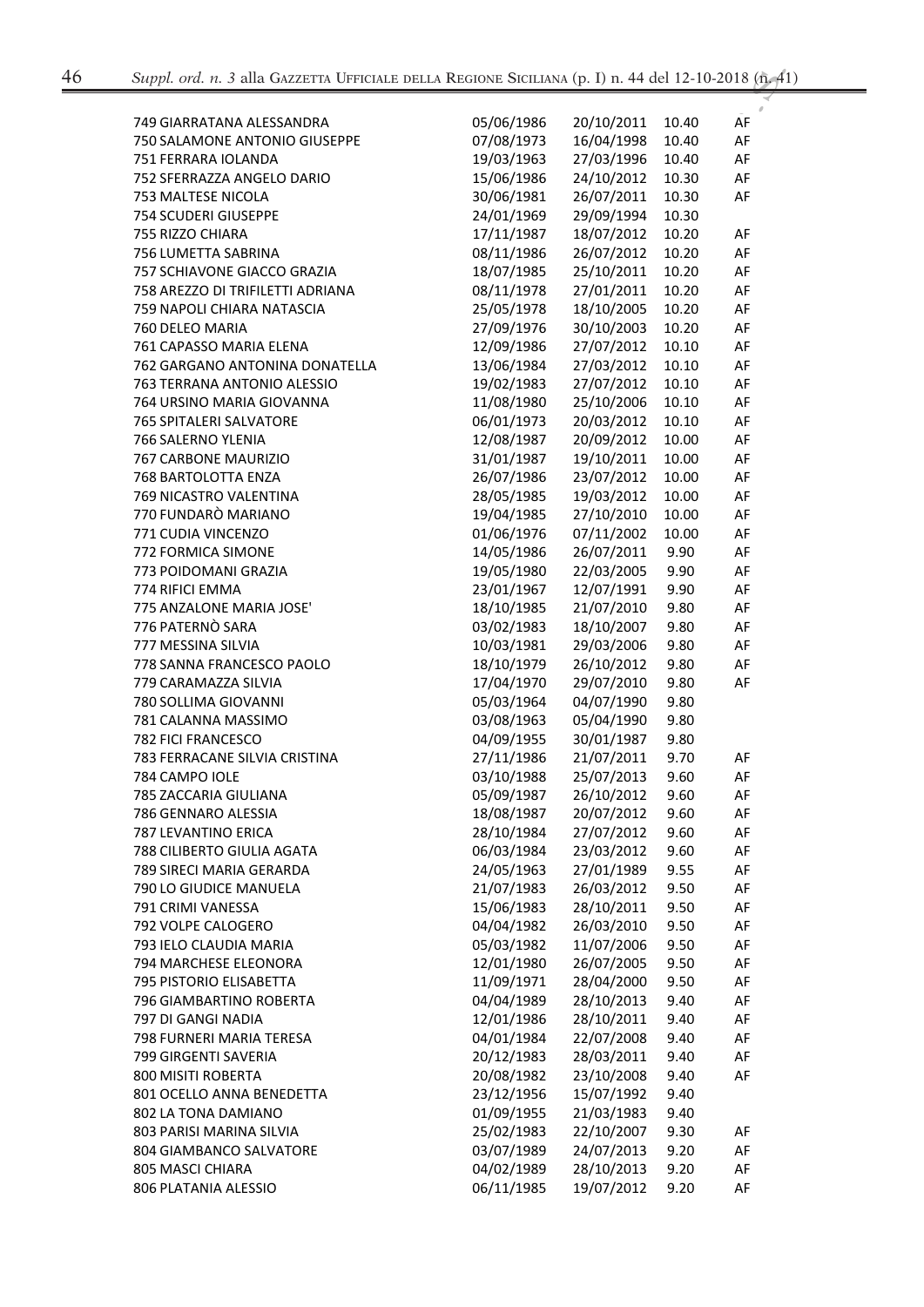| 749 GIARRATANA ALESSANDRA        | 05/06/1986 | 20/10/2011 | 10.40 | AF |
|----------------------------------|------------|------------|-------|----|
| 750 SALAMONE ANTONIO GIUSEPPE    | 07/08/1973 | 16/04/1998 | 10.40 | AF |
| 751 FERRARA IOLANDA              | 19/03/1963 | 27/03/1996 | 10.40 | AF |
| 752 SFERRAZZA ANGELO DARIO       | 15/06/1986 | 24/10/2012 | 10.30 | AF |
| 753 MALTESE NICOLA               | 30/06/1981 | 26/07/2011 | 10.30 | AF |
| 754 SCUDERI GIUSEPPE             | 24/01/1969 | 29/09/1994 | 10.30 |    |
| 755 RIZZO CHIARA                 | 17/11/1987 | 18/07/2012 | 10.20 | AF |
| 756 LUMETTA SABRINA              | 08/11/1986 | 26/07/2012 | 10.20 | AF |
| 757 SCHIAVONE GIACCO GRAZIA      | 18/07/1985 | 25/10/2011 | 10.20 | AF |
| 758 AREZZO DI TRIFILETTI ADRIANA | 08/11/1978 | 27/01/2011 | 10.20 | AF |
| 759 NAPOLI CHIARA NATASCIA       | 25/05/1978 | 18/10/2005 | 10.20 | AF |
| 760 DELEO MARIA                  | 27/09/1976 | 30/10/2003 | 10.20 | AF |
| 761 CAPASSO MARIA ELENA          | 12/09/1986 | 27/07/2012 | 10.10 | AF |
| 762 GARGANO ANTONINA DONATELLA   | 13/06/1984 | 27/03/2012 | 10.10 | AF |
| 763 TERRANA ANTONIO ALESSIO      | 19/02/1983 | 27/07/2012 | 10.10 | AF |
| 764 URSINO MARIA GIOVANNA        | 11/08/1980 | 25/10/2006 | 10.10 | AF |
| 765 SPITALERI SALVATORE          | 06/01/1973 | 20/03/2012 | 10.10 | AF |
| 766 SALERNO YLENIA               | 12/08/1987 | 20/09/2012 | 10.00 | AF |
| 767 CARBONE MAURIZIO             | 31/01/1987 | 19/10/2011 | 10.00 | AF |
| 768 BARTOLOTTA ENZA              | 26/07/1986 | 23/07/2012 | 10.00 | AF |
| 769 NICASTRO VALENTINA           | 28/05/1985 | 19/03/2012 | 10.00 | AF |
| 770 FUNDARÒ MARIANO              | 19/04/1985 | 27/10/2010 | 10.00 | AF |
| 771 CUDIA VINCENZO               | 01/06/1976 | 07/11/2002 | 10.00 | AF |
| 772 FORMICA SIMONE               | 14/05/1986 | 26/07/2011 | 9.90  | AF |
| 773 POIDOMANI GRAZIA             | 19/05/1980 | 22/03/2005 | 9.90  | AF |
| 774 RIFICI EMMA                  | 23/01/1967 | 12/07/1991 | 9.90  | AF |
| 775 ANZALONE MARIA JOSE'         | 18/10/1985 | 21/07/2010 | 9.80  | AF |
| 776 PATERNÒ SARA                 | 03/02/1983 | 18/10/2007 | 9.80  | AF |
| 777 MESSINA SILVIA               | 10/03/1981 | 29/03/2006 | 9.80  | AF |
| 778 SANNA FRANCESCO PAOLO        | 18/10/1979 | 26/10/2012 | 9.80  | AF |
| 779 CARAMAZZA SILVIA             | 17/04/1970 | 29/07/2010 | 9.80  | AF |
| 780 SOLLIMA GIOVANNI             | 05/03/1964 | 04/07/1990 | 9.80  |    |
| 781 CALANNA MASSIMO              | 03/08/1963 | 05/04/1990 | 9.80  |    |
| 782 FICI FRANCESCO               | 04/09/1955 | 30/01/1987 | 9.80  |    |
| 783 FERRACANE SILVIA CRISTINA    | 27/11/1986 | 21/07/2011 | 9.70  | AF |
| 784 CAMPO IOLE                   | 03/10/1988 | 25/07/2013 | 9.60  | AF |
| 785 ZACCARIA GIULIANA            | 05/09/1987 | 26/10/2012 | 9.60  | AF |
| 786 GENNARO ALESSIA              | 18/08/1987 | 20/07/2012 | 9.60  | AF |
| 787 LEVANTINO ERICA              | 28/10/1984 | 27/07/2012 | 9.60  | AF |
| 788 CILIBERTO GIULIA AGATA       | 06/03/1984 | 23/03/2012 | 9.60  | AF |
| 789 SIRECI MARIA GERARDA         | 24/05/1963 | 27/01/1989 | 9.55  | AF |
| 790 LO GIUDICE MANUELA           | 21/07/1983 | 26/03/2012 | 9.50  | AF |
| 791 CRIMI VANESSA                | 15/06/1983 | 28/10/2011 | 9.50  | AF |
| 792 VOLPE CALOGERO               | 04/04/1982 | 26/03/2010 | 9.50  | AF |
| 793 IELO CLAUDIA MARIA           | 05/03/1982 | 11/07/2006 | 9.50  | AF |
| 794 MARCHESE ELEONORA            | 12/01/1980 | 26/07/2005 | 9.50  | AF |
| 795 PISTORIO ELISABETTA          | 11/09/1971 | 28/04/2000 | 9.50  | AF |
| 796 GIAMBARTINO ROBERTA          | 04/04/1989 | 28/10/2013 | 9.40  | AF |
| 797 DI GANGI NADIA               | 12/01/1986 | 28/10/2011 | 9.40  | AF |
| 798 FURNERI MARIA TERESA         | 04/01/1984 | 22/07/2008 | 9.40  | AF |
| 799 GIRGENTI SAVERIA             | 20/12/1983 | 28/03/2011 | 9.40  | AF |
| 800 MISITI ROBERTA               | 20/08/1982 | 23/10/2008 | 9.40  | AF |
| 801 OCELLO ANNA BENEDETTA        | 23/12/1956 | 15/07/1992 | 9.40  |    |
| 802 LA TONA DAMIANO              | 01/09/1955 | 21/03/1983 | 9.40  |    |
| 803 PARISI MARINA SILVIA         | 25/02/1983 | 22/10/2007 | 9.30  | AF |
| 804 GIAMBANCO SALVATORE          | 03/07/1989 | 24/07/2013 | 9.20  | AF |
| 805 MASCI CHIARA                 | 04/02/1989 | 28/10/2013 | 9.20  | AF |
| 806 PLATANIA ALESSIO             | 06/11/1985 | 19/07/2012 | 9.20  | AF |
|                                  |            |            |       |    |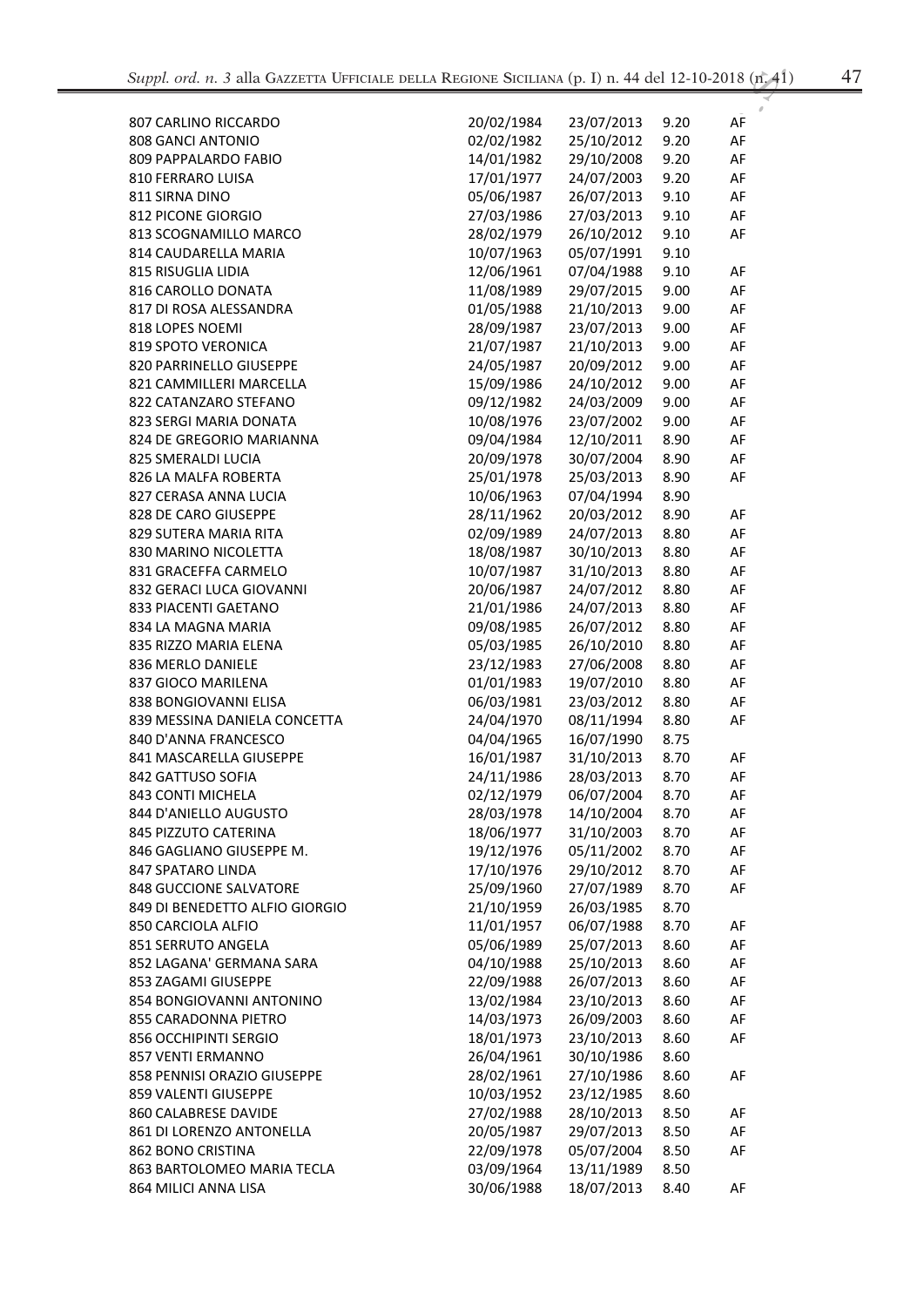| v<br>÷<br>×<br>÷ |  |
|------------------|--|
|------------------|--|

| 807 CARLINO RICCARDO           | 20/02/1984 | 23/07/2013 | 9.20 | AF |
|--------------------------------|------------|------------|------|----|
| 808 GANCI ANTONIO              | 02/02/1982 | 25/10/2012 | 9.20 | AF |
| 809 PAPPALARDO FABIO           | 14/01/1982 | 29/10/2008 | 9.20 | AF |
| 810 FERRARO LUISA              | 17/01/1977 | 24/07/2003 | 9.20 | AF |
| 811 SIRNA DINO                 | 05/06/1987 | 26/07/2013 | 9.10 | AF |
| 812 PICONE GIORGIO             | 27/03/1986 | 27/03/2013 | 9.10 | AF |
| 813 SCOGNAMILLO MARCO          | 28/02/1979 | 26/10/2012 | 9.10 | AF |
| 814 CAUDARELLA MARIA           | 10/07/1963 | 05/07/1991 | 9.10 |    |
| 815 RISUGLIA LIDIA             | 12/06/1961 | 07/04/1988 | 9.10 | AF |
| 816 CAROLLO DONATA             | 11/08/1989 | 29/07/2015 | 9.00 | AF |
| 817 DI ROSA ALESSANDRA         | 01/05/1988 | 21/10/2013 | 9.00 | AF |
| 818 LOPES NOEMI                | 28/09/1987 | 23/07/2013 | 9.00 | AF |
| <b>819 SPOTO VERONICA</b>      | 21/07/1987 | 21/10/2013 | 9.00 | AF |
| 820 PARRINELLO GIUSEPPE        | 24/05/1987 | 20/09/2012 | 9.00 | AF |
| 821 CAMMILLERI MARCELLA        | 15/09/1986 | 24/10/2012 | 9.00 | AF |
| 822 CATANZARO STEFANO          | 09/12/1982 | 24/03/2009 | 9.00 | AF |
| 823 SERGI MARIA DONATA         | 10/08/1976 | 23/07/2002 | 9.00 | AF |
| 824 DE GREGORIO MARIANNA       | 09/04/1984 | 12/10/2011 | 8.90 | AF |
| 825 SMERALDI LUCIA             | 20/09/1978 | 30/07/2004 | 8.90 | AF |
| 826 LA MALFA ROBERTA           | 25/01/1978 | 25/03/2013 | 8.90 | AF |
| 827 CERASA ANNA LUCIA          | 10/06/1963 | 07/04/1994 | 8.90 |    |
| 828 DE CARO GIUSEPPE           | 28/11/1962 | 20/03/2012 | 8.90 | AF |
| 829 SUTERA MARIA RITA          | 02/09/1989 | 24/07/2013 | 8.80 | AF |
| 830 MARINO NICOLETTA           | 18/08/1987 | 30/10/2013 | 8.80 | AF |
| 831 GRACEFFA CARMELO           | 10/07/1987 | 31/10/2013 | 8.80 | AF |
| 832 GERACI LUCA GIOVANNI       | 20/06/1987 | 24/07/2012 | 8.80 | AF |
| 833 PIACENTI GAETANO           | 21/01/1986 | 24/07/2013 | 8.80 | AF |
| 834 LA MAGNA MARIA             | 09/08/1985 | 26/07/2012 | 8.80 | AF |
| 835 RIZZO MARIA ELENA          | 05/03/1985 | 26/10/2010 | 8.80 | AF |
| 836 MERLO DANIELE              | 23/12/1983 | 27/06/2008 | 8.80 | AF |
| 837 GIOCO MARILENA             | 01/01/1983 | 19/07/2010 | 8.80 | AF |
| 838 BONGIOVANNI ELISA          | 06/03/1981 | 23/03/2012 | 8.80 | AF |
| 839 MESSINA DANIELA CONCETTA   | 24/04/1970 | 08/11/1994 | 8.80 | AF |
| 840 D'ANNA FRANCESCO           | 04/04/1965 | 16/07/1990 | 8.75 |    |
| 841 MASCARELLA GIUSEPPE        | 16/01/1987 | 31/10/2013 | 8.70 | AF |
| 842 GATTUSO SOFIA              | 24/11/1986 | 28/03/2013 | 8.70 | AF |
| 843 CONTI MICHELA              | 02/12/1979 | 06/07/2004 | 8.70 | AF |
| 844 D'ANIELLO AUGUSTO          | 28/03/1978 | 14/10/2004 | 8.70 | AF |
| 845 PIZZUTO CATERINA           | 18/06/1977 | 31/10/2003 | 8.70 | AF |
| 846 GAGLIANO GIUSEPPE M.       | 19/12/1976 | 05/11/2002 | 8.70 | AF |
| 847 SPATARO LINDA              | 17/10/1976 | 29/10/2012 | 8.70 | AF |
| <b>848 GUCCIONE SALVATORE</b>  | 25/09/1960 | 27/07/1989 | 8.70 | AF |
| 849 DI BENEDETTO ALFIO GIORGIO | 21/10/1959 | 26/03/1985 | 8.70 |    |
| 850 CARCIOLA ALFIO             | 11/01/1957 | 06/07/1988 | 8.70 | AF |
| 851 SERRUTO ANGELA             | 05/06/1989 | 25/07/2013 | 8.60 | AF |
| 852 LAGANA' GERMANA SARA       | 04/10/1988 | 25/10/2013 | 8.60 | AF |
| 853 ZAGAMI GIUSEPPE            | 22/09/1988 | 26/07/2013 | 8.60 | AF |
| 854 BONGIOVANNI ANTONINO       | 13/02/1984 | 23/10/2013 | 8.60 | AF |
| 855 CARADONNA PIETRO           | 14/03/1973 | 26/09/2003 | 8.60 | AF |
| 856 OCCHIPINTI SERGIO          | 18/01/1973 | 23/10/2013 | 8.60 | AF |
| 857 VENTI ERMANNO              | 26/04/1961 | 30/10/1986 | 8.60 |    |
| 858 PENNISI ORAZIO GIUSEPPE    | 28/02/1961 | 27/10/1986 | 8.60 | AF |
| 859 VALENTI GIUSEPPE           | 10/03/1952 | 23/12/1985 | 8.60 |    |
| 860 CALABRESE DAVIDE           | 27/02/1988 | 28/10/2013 | 8.50 | AF |
| 861 DI LORENZO ANTONELLA       | 20/05/1987 | 29/07/2013 | 8.50 | AF |
| 862 BONO CRISTINA              | 22/09/1978 | 05/07/2004 | 8.50 | AF |
| 863 BARTOLOMEO MARIA TECLA     | 03/09/1964 | 13/11/1989 | 8.50 |    |
| 864 MILICI ANNA LISA           | 30/06/1988 | 18/07/2013 | 8.40 | AF |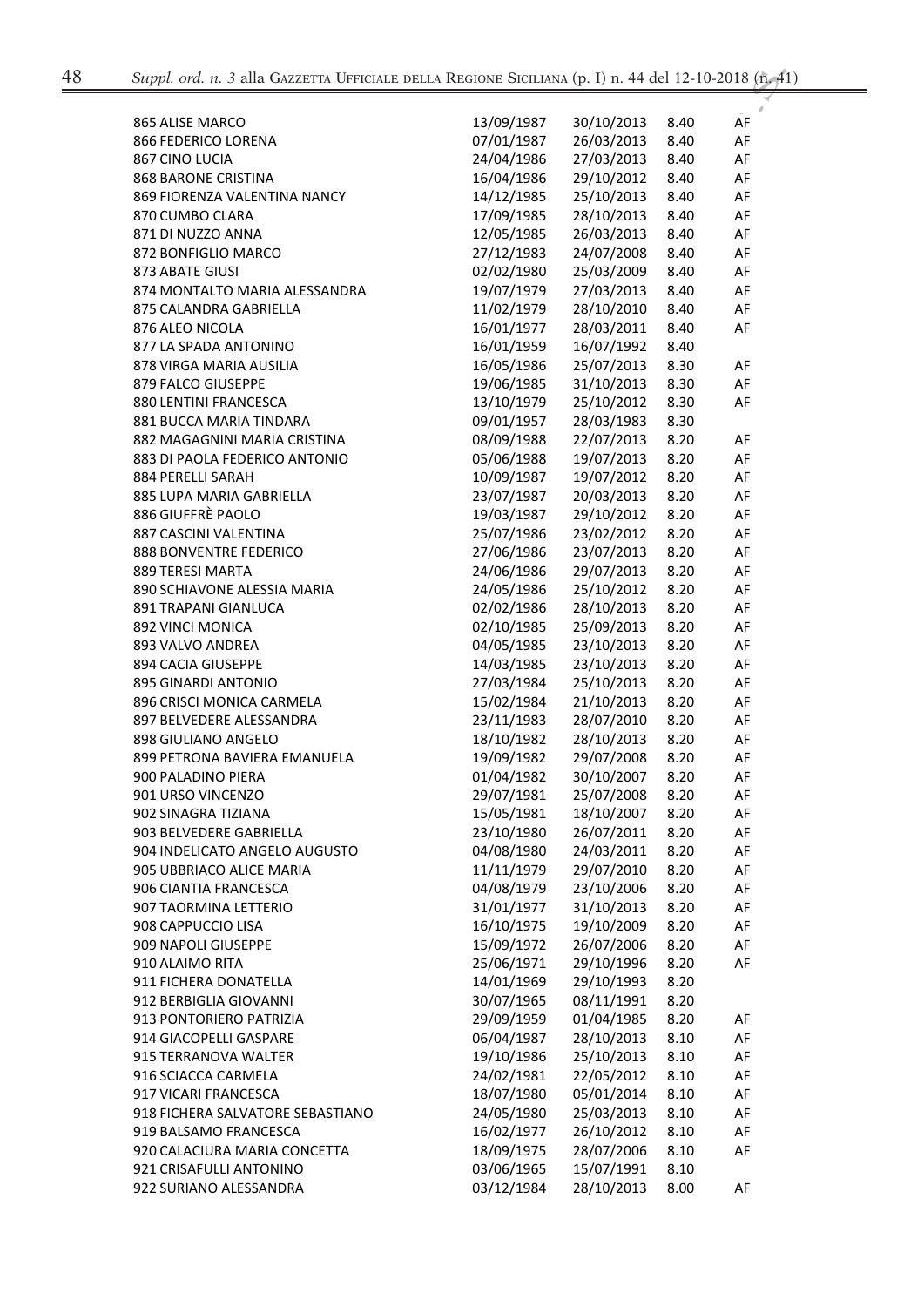| 865 ALISE MARCO                  | 13/09/1987 | 30/10/2013 | 8.40 | AF |
|----------------------------------|------------|------------|------|----|
| 866 FEDERICO LORENA              | 07/01/1987 | 26/03/2013 | 8.40 | AF |
| 867 CINO LUCIA                   | 24/04/1986 | 27/03/2013 | 8.40 | AF |
| <b>868 BARONE CRISTINA</b>       | 16/04/1986 | 29/10/2012 | 8.40 | AF |
| 869 FIORENZA VALENTINA NANCY     | 14/12/1985 | 25/10/2013 | 8.40 | AF |
| 870 CUMBO CLARA                  | 17/09/1985 | 28/10/2013 | 8.40 | AF |
| 871 DI NUZZO ANNA                | 12/05/1985 | 26/03/2013 | 8.40 | AF |
|                                  |            |            |      |    |
| 872 BONFIGLIO MARCO              | 27/12/1983 | 24/07/2008 | 8.40 | AF |
| 873 ABATE GIUSI                  | 02/02/1980 | 25/03/2009 | 8.40 | AF |
| 874 MONTALTO MARIA ALESSANDRA    | 19/07/1979 | 27/03/2013 | 8.40 | AF |
| 875 CALANDRA GABRIELLA           | 11/02/1979 | 28/10/2010 | 8.40 | AF |
| 876 ALEO NICOLA                  | 16/01/1977 | 28/03/2011 | 8.40 | AF |
| 877 LA SPADA ANTONINO            | 16/01/1959 | 16/07/1992 | 8.40 |    |
| 878 VIRGA MARIA AUSILIA          | 16/05/1986 | 25/07/2013 | 8.30 | AF |
| 879 FALCO GIUSEPPE               | 19/06/1985 | 31/10/2013 | 8.30 | AF |
| 880 LENTINI FRANCESCA            | 13/10/1979 | 25/10/2012 | 8.30 | AF |
| 881 BUCCA MARIA TINDARA          | 09/01/1957 | 28/03/1983 | 8.30 |    |
| 882 MAGAGNINI MARIA CRISTINA     | 08/09/1988 | 22/07/2013 | 8.20 | AF |
| 883 DI PAOLA FEDERICO ANTONIO    | 05/06/1988 | 19/07/2013 | 8.20 | AF |
| 884 PERELLI SARAH                | 10/09/1987 | 19/07/2012 | 8.20 | AF |
| 885 LUPA MARIA GABRIELLA         | 23/07/1987 | 20/03/2013 | 8.20 | AF |
| 886 GIUFFRÈ PAOLO                | 19/03/1987 | 29/10/2012 | 8.20 | AF |
| 887 CASCINI VALENTINA            | 25/07/1986 | 23/02/2012 | 8.20 | AF |
| 888 BONVENTRE FEDERICO           | 27/06/1986 | 23/07/2013 | 8.20 | AF |
| 889 TERESI MARTA                 | 24/06/1986 | 29/07/2013 | 8.20 | AF |
| 890 SCHIAVONE ALESSIA MARIA      | 24/05/1986 | 25/10/2012 | 8.20 | AF |
|                                  |            |            |      |    |
| 891 TRAPANI GIANLUCA             | 02/02/1986 | 28/10/2013 | 8.20 | AF |
| 892 VINCI MONICA                 | 02/10/1985 | 25/09/2013 | 8.20 | AF |
| 893 VALVO ANDREA                 | 04/05/1985 | 23/10/2013 | 8.20 | AF |
| 894 CACIA GIUSEPPE               | 14/03/1985 | 23/10/2013 | 8.20 | AF |
| 895 GINARDI ANTONIO              | 27/03/1984 | 25/10/2013 | 8.20 | AF |
| 896 CRISCI MONICA CARMELA        | 15/02/1984 | 21/10/2013 | 8.20 | AF |
| 897 BELVEDERE ALESSANDRA         | 23/11/1983 | 28/07/2010 | 8.20 | AF |
| 898 GIULIANO ANGELO              | 18/10/1982 | 28/10/2013 | 8.20 | AF |
| 899 PETRONA BAVIERA EMANUELA     | 19/09/1982 | 29/07/2008 | 8.20 | AF |
| 900 PALADINO PIERA               | 01/04/1982 | 30/10/2007 | 8.20 | AF |
| 901 URSO VINCENZO                | 29/07/1981 | 25/07/2008 | 8.20 | AF |
| 902 SINAGRA TIZIANA              | 15/05/1981 | 18/10/2007 | 8.20 | AF |
| 903 BELVEDERE GABRIELLA          | 23/10/1980 | 26/07/2011 | 8.20 | AF |
| 904 INDELICATO ANGELO AUGUSTO    | 04/08/1980 | 24/03/2011 | 8.20 | AF |
| 905 UBBRIACO ALICE MARIA         | 11/11/1979 | 29/07/2010 | 8.20 | AF |
| 906 CIANTIA FRANCESCA            | 04/08/1979 | 23/10/2006 | 8.20 | AF |
| 907 TAORMINA LETTERIO            | 31/01/1977 | 31/10/2013 | 8.20 | AF |
| 908 CAPPUCCIO LISA               | 16/10/1975 | 19/10/2009 | 8.20 | AF |
| 909 NAPOLI GIUSEPPE              | 15/09/1972 | 26/07/2006 | 8.20 | AF |
| 910 ALAIMO RITA                  | 25/06/1971 | 29/10/1996 | 8.20 | AF |
| 911 FICHERA DONATELLA            | 14/01/1969 | 29/10/1993 | 8.20 |    |
| 912 BERBIGLIA GIOVANNI           | 30/07/1965 | 08/11/1991 | 8.20 |    |
| 913 PONTORIERO PATRIZIA          | 29/09/1959 | 01/04/1985 | 8.20 |    |
|                                  |            |            |      | AF |
| 914 GIACOPELLI GASPARE           | 06/04/1987 | 28/10/2013 | 8.10 | AF |
| 915 TERRANOVA WALTER             | 19/10/1986 | 25/10/2013 | 8.10 | AF |
| 916 SCIACCA CARMELA              | 24/02/1981 | 22/05/2012 | 8.10 | AF |
| 917 VICARI FRANCESCA             | 18/07/1980 | 05/01/2014 | 8.10 | AF |
| 918 FICHERA SALVATORE SEBASTIANO | 24/05/1980 | 25/03/2013 | 8.10 | AF |
| 919 BALSAMO FRANCESCA            | 16/02/1977 | 26/10/2012 | 8.10 | AF |
| 920 CALACIURA MARIA CONCETTA     | 18/09/1975 | 28/07/2006 | 8.10 | AF |
| 921 CRISAFULLI ANTONINO          | 03/06/1965 | 15/07/1991 | 8.10 |    |
| 922 SURIANO ALESSANDRA           | 03/12/1984 | 28/10/2013 | 8.00 | AF |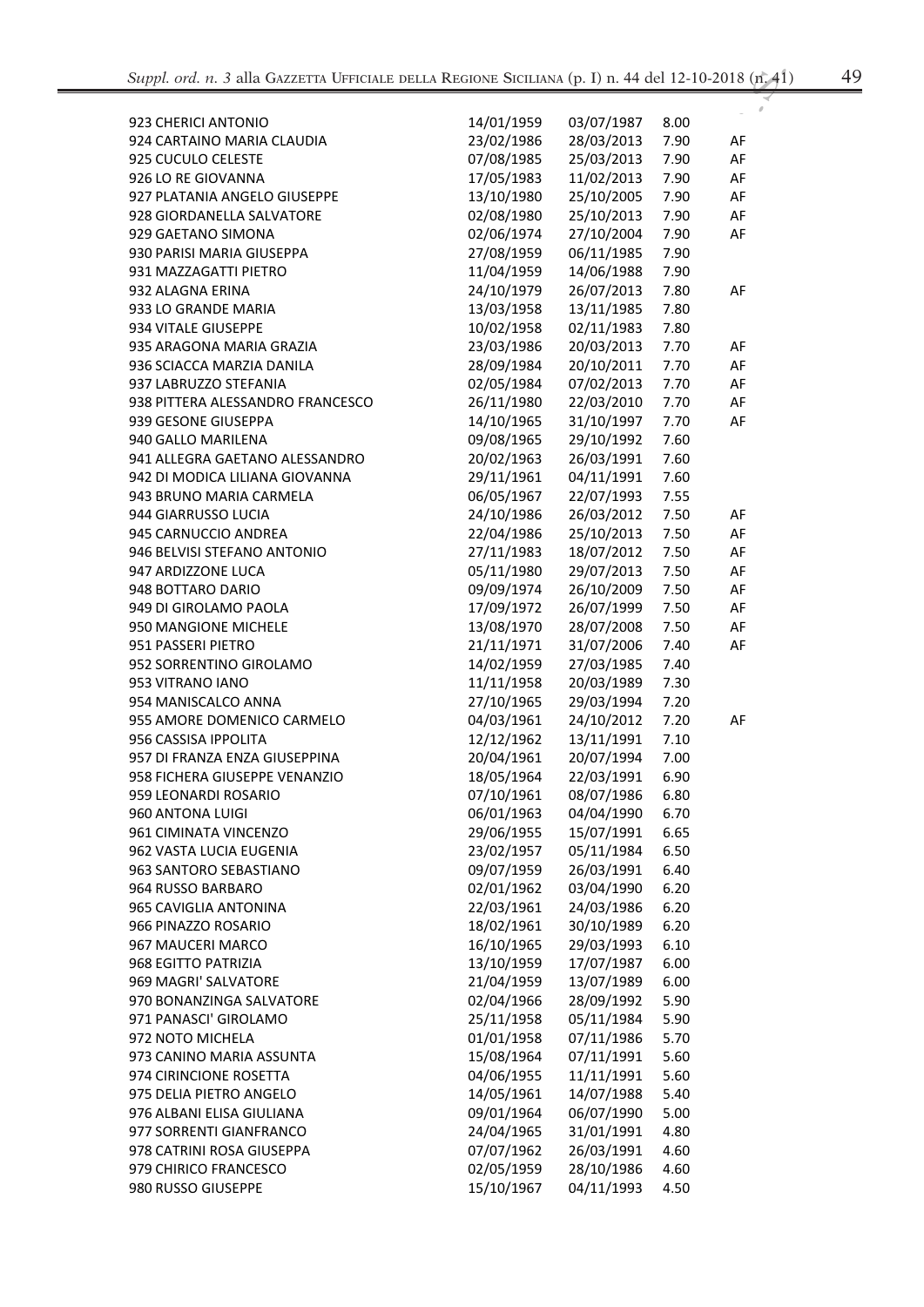| v<br>÷ | ٠<br>×<br>×. |
|--------|--------------|
| ×      | v            |

| 923 CHERICI ANTONIO              | 14/01/1959 | 03/07/1987 | 8.00 |    |
|----------------------------------|------------|------------|------|----|
| 924 CARTAINO MARIA CLAUDIA       | 23/02/1986 | 28/03/2013 | 7.90 | AF |
| 925 CUCULO CELESTE               | 07/08/1985 | 25/03/2013 | 7.90 | AF |
| 926 LO RE GIOVANNA               | 17/05/1983 | 11/02/2013 | 7.90 | AF |
| 927 PLATANIA ANGELO GIUSEPPE     | 13/10/1980 | 25/10/2005 | 7.90 | AF |
| 928 GIORDANELLA SALVATORE        | 02/08/1980 | 25/10/2013 | 7.90 | AF |
| 929 GAETANO SIMONA               | 02/06/1974 | 27/10/2004 | 7.90 | AF |
| 930 PARISI MARIA GIUSEPPA        | 27/08/1959 | 06/11/1985 | 7.90 |    |
| 931 MAZZAGATTI PIETRO            | 11/04/1959 | 14/06/1988 | 7.90 |    |
| 932 ALAGNA ERINA                 | 24/10/1979 | 26/07/2013 | 7.80 | AF |
| 933 LO GRANDE MARIA              | 13/03/1958 | 13/11/1985 | 7.80 |    |
| 934 VITALE GIUSEPPE              | 10/02/1958 | 02/11/1983 | 7.80 |    |
| 935 ARAGONA MARIA GRAZIA         | 23/03/1986 | 20/03/2013 | 7.70 | AF |
| 936 SCIACCA MARZIA DANILA        | 28/09/1984 | 20/10/2011 | 7.70 | AF |
| 937 LABRUZZO STEFANIA            | 02/05/1984 | 07/02/2013 | 7.70 | AF |
| 938 PITTERA ALESSANDRO FRANCESCO | 26/11/1980 | 22/03/2010 | 7.70 | AF |
| 939 GESONE GIUSEPPA              | 14/10/1965 | 31/10/1997 | 7.70 | AF |
| 940 GALLO MARILENA               | 09/08/1965 | 29/10/1992 | 7.60 |    |
| 941 ALLEGRA GAETANO ALESSANDRO   | 20/02/1963 | 26/03/1991 | 7.60 |    |
| 942 DI MODICA LILIANA GIOVANNA   | 29/11/1961 | 04/11/1991 | 7.60 |    |
| 943 BRUNO MARIA CARMELA          | 06/05/1967 | 22/07/1993 | 7.55 |    |
| 944 GIARRUSSO LUCIA              | 24/10/1986 | 26/03/2012 | 7.50 | AF |
| 945 CARNUCCIO ANDREA             | 22/04/1986 | 25/10/2013 | 7.50 | AF |
| 946 BELVISI STEFANO ANTONIO      | 27/11/1983 | 18/07/2012 | 7.50 | AF |
| 947 ARDIZZONE LUCA               | 05/11/1980 | 29/07/2013 | 7.50 | AF |
| 948 BOTTARO DARIO                | 09/09/1974 | 26/10/2009 | 7.50 | AF |
| 949 DI GIROLAMO PAOLA            | 17/09/1972 | 26/07/1999 | 7.50 | AF |
| 950 MANGIONE MICHELE             | 13/08/1970 | 28/07/2008 | 7.50 | AF |
| 951 PASSERI PIETRO               | 21/11/1971 | 31/07/2006 | 7.40 | AF |
| 952 SORRENTINO GIROLAMO          | 14/02/1959 | 27/03/1985 | 7.40 |    |
| 953 VITRANO IANO                 | 11/11/1958 | 20/03/1989 | 7.30 |    |
| 954 MANISCALCO ANNA              | 27/10/1965 | 29/03/1994 | 7.20 |    |
| 955 AMORE DOMENICO CARMELO       | 04/03/1961 | 24/10/2012 | 7.20 | AF |
| 956 CASSISA IPPOLITA             | 12/12/1962 | 13/11/1991 | 7.10 |    |
| 957 DI FRANZA ENZA GIUSEPPINA    | 20/04/1961 | 20/07/1994 | 7.00 |    |
| 958 FICHERA GIUSEPPE VENANZIO    | 18/05/1964 | 22/03/1991 | 6.90 |    |
| 959 LEONARDI ROSARIO             | 07/10/1961 | 08/07/1986 | 6.80 |    |
| 960 ANTONA LUIGI                 | 06/01/1963 | 04/04/1990 | 6.70 |    |
| 961 CIMINATA VINCENZO            | 29/06/1955 | 15/07/1991 | 6.65 |    |
| 962 VASTA LUCIA EUGENIA          | 23/02/1957 | 05/11/1984 | 6.50 |    |
| 963 SANTORO SEBASTIANO           | 09/07/1959 | 26/03/1991 | 6.40 |    |
| 964 RUSSO BARBARO                | 02/01/1962 | 03/04/1990 | 6.20 |    |
| 965 CAVIGLIA ANTONINA            | 22/03/1961 | 24/03/1986 | 6.20 |    |
| 966 PINAZZO ROSARIO              | 18/02/1961 | 30/10/1989 | 6.20 |    |
| 967 MAUCERI MARCO                | 16/10/1965 | 29/03/1993 | 6.10 |    |
| 968 EGITTO PATRIZIA              | 13/10/1959 | 17/07/1987 | 6.00 |    |
| 969 MAGRI' SALVATORE             | 21/04/1959 | 13/07/1989 | 6.00 |    |
| 970 BONANZINGA SALVATORE         | 02/04/1966 | 28/09/1992 | 5.90 |    |
| 971 PANASCI' GIROLAMO            | 25/11/1958 | 05/11/1984 | 5.90 |    |
| 972 NOTO MICHELA                 | 01/01/1958 | 07/11/1986 | 5.70 |    |
| 973 CANINO MARIA ASSUNTA         | 15/08/1964 | 07/11/1991 | 5.60 |    |
| 974 CIRINCIONE ROSETTA           | 04/06/1955 | 11/11/1991 | 5.60 |    |
| 975 DELIA PIETRO ANGELO          | 14/05/1961 | 14/07/1988 | 5.40 |    |
| 976 ALBANI ELISA GIULIANA        | 09/01/1964 | 06/07/1990 | 5.00 |    |
| 977 SORRENTI GIANFRANCO          | 24/04/1965 | 31/01/1991 | 4.80 |    |
| 978 CATRINI ROSA GIUSEPPA        | 07/07/1962 | 26/03/1991 | 4.60 |    |
| 979 CHIRICO FRANCESCO            | 02/05/1959 | 28/10/1986 | 4.60 |    |
| 980 RUSSO GIUSEPPE               | 15/10/1967 | 04/11/1993 | 4.50 |    |
|                                  |            |            |      |    |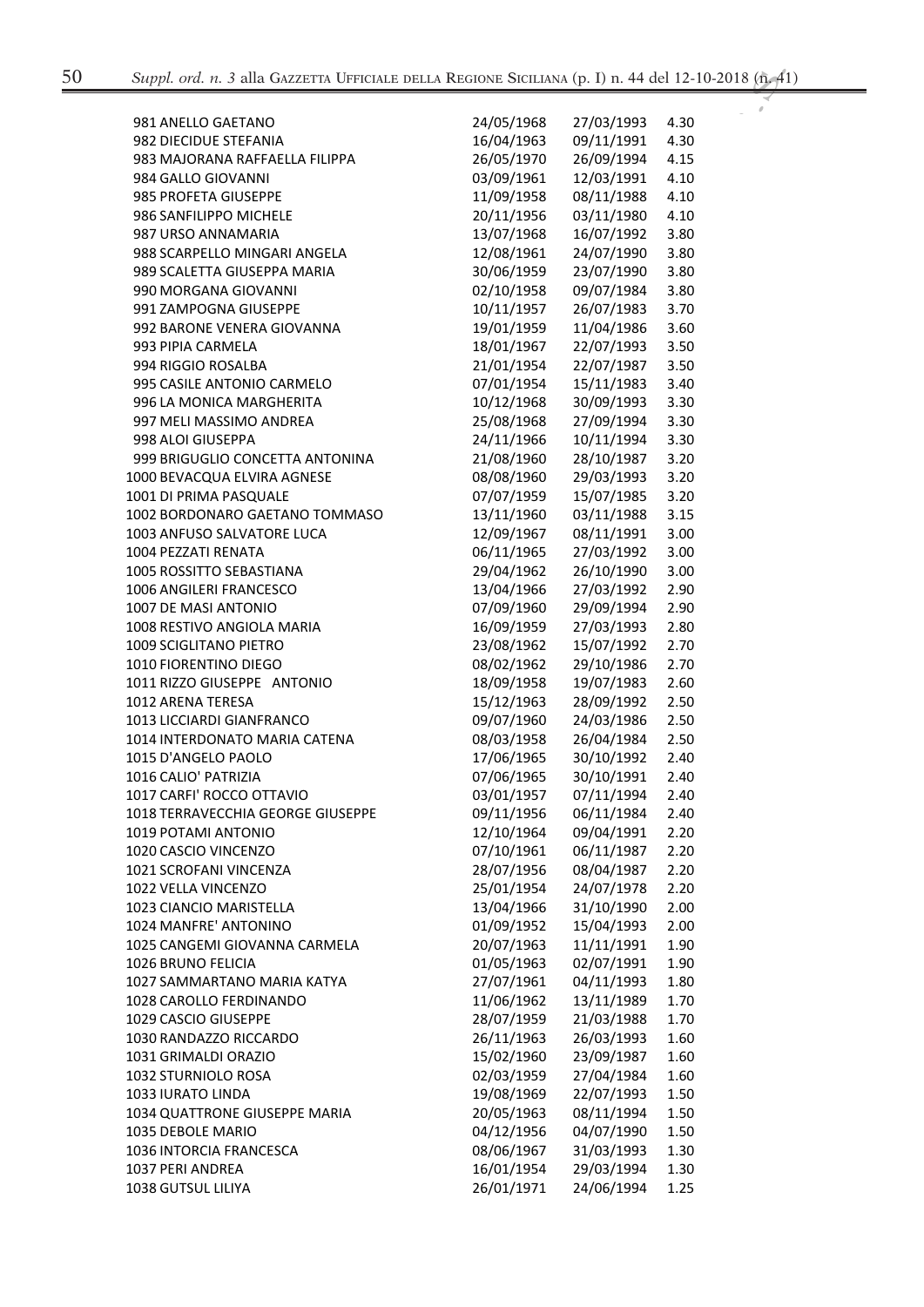$\boldsymbol{\rho}$ 

| 981 ANELLO GAETANO                | 24/05/1968 | 27/03/1993 | 4.30 |
|-----------------------------------|------------|------------|------|
| 982 DIECIDUE STEFANIA             | 16/04/1963 | 09/11/1991 | 4.30 |
| 983 MAJORANA RAFFAELLA FILIPPA    | 26/05/1970 | 26/09/1994 | 4.15 |
| 984 GALLO GIOVANNI                | 03/09/1961 | 12/03/1991 | 4.10 |
| 985 PROFETA GIUSEPPE              | 11/09/1958 | 08/11/1988 | 4.10 |
| 986 SANFILIPPO MICHELE            | 20/11/1956 | 03/11/1980 | 4.10 |
| 987 URSO ANNAMARIA                | 13/07/1968 | 16/07/1992 | 3.80 |
| 988 SCARPELLO MINGARI ANGELA      | 12/08/1961 | 24/07/1990 | 3.80 |
| 989 SCALETTA GIUSEPPA MARIA       | 30/06/1959 | 23/07/1990 | 3.80 |
| 990 MORGANA GIOVANNI              | 02/10/1958 | 09/07/1984 | 3.80 |
| 991 ZAMPOGNA GIUSEPPE             | 10/11/1957 | 26/07/1983 | 3.70 |
| 992 BARONE VENERA GIOVANNA        | 19/01/1959 | 11/04/1986 | 3.60 |
| 993 PIPIA CARMELA                 | 18/01/1967 | 22/07/1993 | 3.50 |
| 994 RIGGIO ROSALBA                | 21/01/1954 | 22/07/1987 | 3.50 |
| 995 CASILE ANTONIO CARMELO        | 07/01/1954 | 15/11/1983 | 3.40 |
| 996 LA MONICA MARGHERITA          | 10/12/1968 | 30/09/1993 | 3.30 |
| 997 MELI MASSIMO ANDREA           | 25/08/1968 | 27/09/1994 | 3.30 |
| 998 ALOI GIUSEPPA                 | 24/11/1966 | 10/11/1994 | 3.30 |
| 999 BRIGUGLIO CONCETTA ANTONINA   | 21/08/1960 | 28/10/1987 | 3.20 |
| 1000 BEVACQUA ELVIRA AGNESE       | 08/08/1960 | 29/03/1993 | 3.20 |
| 1001 DI PRIMA PASQUALE            | 07/07/1959 | 15/07/1985 | 3.20 |
|                                   |            |            |      |
| 1002 BORDONARO GAETANO TOMMASO    | 13/11/1960 | 03/11/1988 | 3.15 |
| 1003 ANFUSO SALVATORE LUCA        | 12/09/1967 | 08/11/1991 | 3.00 |
| 1004 PEZZATI RENATA               | 06/11/1965 | 27/03/1992 | 3.00 |
| 1005 ROSSITTO SEBASTIANA          | 29/04/1962 | 26/10/1990 | 3.00 |
| 1006 ANGILERI FRANCESCO           | 13/04/1966 | 27/03/1992 | 2.90 |
| 1007 DE MASI ANTONIO              | 07/09/1960 | 29/09/1994 | 2.90 |
| 1008 RESTIVO ANGIOLA MARIA        | 16/09/1959 | 27/03/1993 | 2.80 |
| 1009 SCIGLITANO PIETRO            | 23/08/1962 | 15/07/1992 | 2.70 |
| 1010 FIORENTINO DIEGO             | 08/02/1962 | 29/10/1986 | 2.70 |
| 1011 RIZZO GIUSEPPE ANTONIO       | 18/09/1958 | 19/07/1983 | 2.60 |
| 1012 ARENA TERESA                 | 15/12/1963 | 28/09/1992 | 2.50 |
| 1013 LICCIARDI GIANFRANCO         | 09/07/1960 | 24/03/1986 | 2.50 |
| 1014 INTERDONATO MARIA CATENA     | 08/03/1958 | 26/04/1984 | 2.50 |
| 1015 D'ANGELO PAOLO               | 17/06/1965 | 30/10/1992 | 2.40 |
| 1016 CALIO' PATRIZIA              | 07/06/1965 | 30/10/1991 | 2.40 |
| 1017 CARFI' ROCCO OTTAVIO         | 03/01/1957 | 07/11/1994 | 2.40 |
| 1018 TERRAVECCHIA GEORGE GIUSEPPE | 09/11/1956 | 06/11/1984 | 2.40 |
| 1019 POTAMI ANTONIO               | 12/10/1964 | 09/04/1991 | 2.20 |
| 1020 CASCIO VINCENZO              | 07/10/1961 | 06/11/1987 | 2.20 |
| 1021 SCROFANI VINCENZA            | 28/07/1956 | 08/04/1987 | 2.20 |
| 1022 VELLA VINCENZO               | 25/01/1954 | 24/07/1978 | 2.20 |
| 1023 CIANCIO MARISTELLA           | 13/04/1966 | 31/10/1990 | 2.00 |
| 1024 MANFRE' ANTONINO             | 01/09/1952 | 15/04/1993 | 2.00 |
| 1025 CANGEMI GIOVANNA CARMELA     | 20/07/1963 | 11/11/1991 | 1.90 |
| 1026 BRUNO FELICIA                | 01/05/1963 | 02/07/1991 | 1.90 |
| 1027 SAMMARTANO MARIA KATYA       | 27/07/1961 | 04/11/1993 | 1.80 |
| 1028 CAROLLO FERDINANDO           | 11/06/1962 | 13/11/1989 | 1.70 |
| 1029 CASCIO GIUSEPPE              | 28/07/1959 | 21/03/1988 | 1.70 |
| 1030 RANDAZZO RICCARDO            | 26/11/1963 | 26/03/1993 | 1.60 |
| 1031 GRIMALDI ORAZIO              | 15/02/1960 | 23/09/1987 | 1.60 |
| 1032 STURNIOLO ROSA               | 02/03/1959 | 27/04/1984 | 1.60 |
| 1033 IURATO LINDA                 | 19/08/1969 | 22/07/1993 | 1.50 |
| 1034 QUATTRONE GIUSEPPE MARIA     | 20/05/1963 | 08/11/1994 | 1.50 |
| 1035 DEBOLE MARIO                 | 04/12/1956 | 04/07/1990 | 1.50 |
| 1036 INTORCIA FRANCESCA           | 08/06/1967 | 31/03/1993 | 1.30 |
| 1037 PERI ANDREA                  | 16/01/1954 | 29/03/1994 | 1.30 |
| 1038 GUTSUL LILIYA                | 26/01/1971 | 24/06/1994 | 1.25 |
|                                   |            |            |      |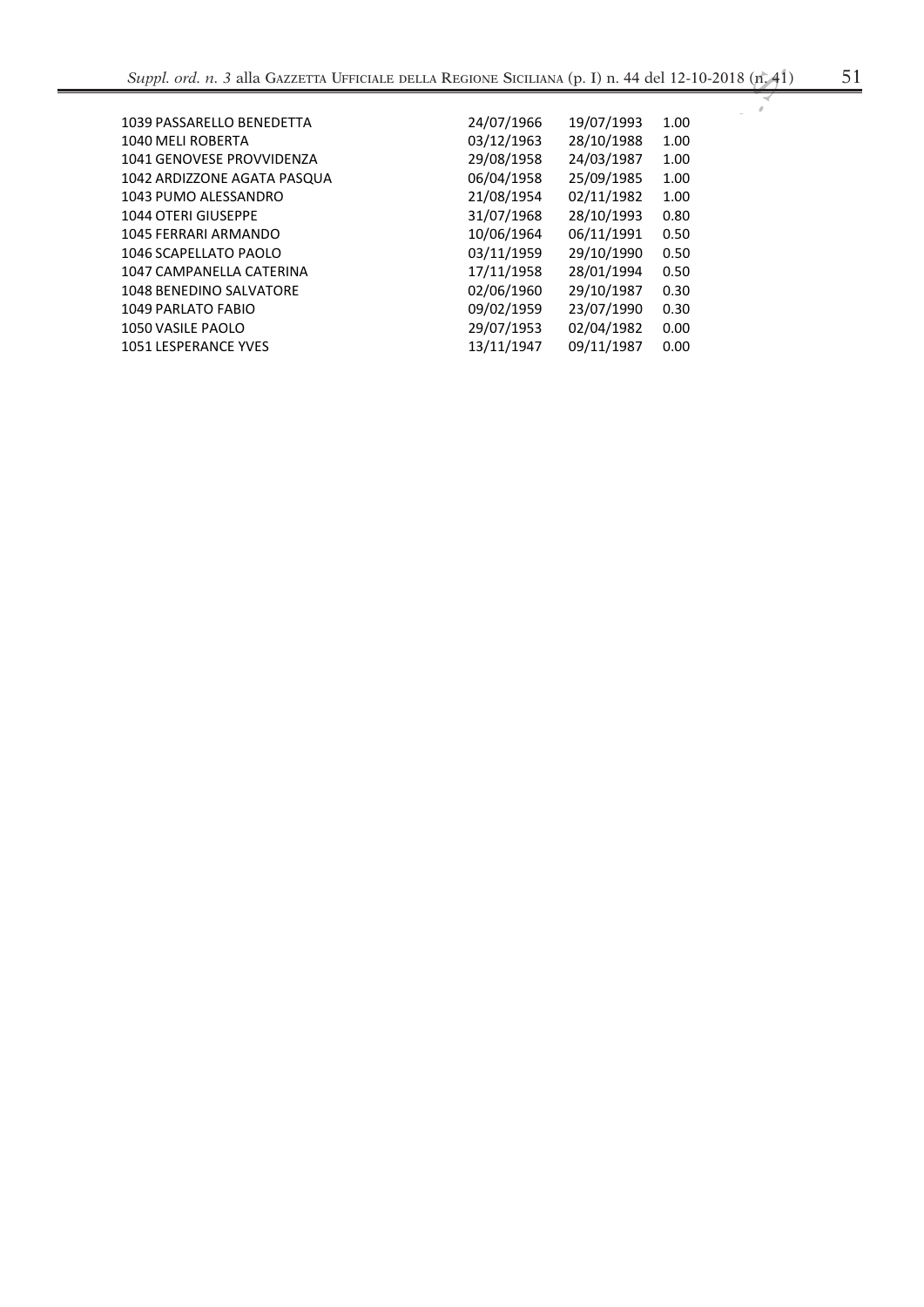| 1039 PASSARELLO BENEDETTA   | 24/07/1966 | 19/07/1993 | 1.00 |
|-----------------------------|------------|------------|------|
| 1040 MELI ROBERTA           | 03/12/1963 | 28/10/1988 | 1.00 |
| 1041 GENOVESE PROVVIDENZA   | 29/08/1958 | 24/03/1987 | 1.00 |
| 1042 ARDIZZONE AGATA PASQUA | 06/04/1958 | 25/09/1985 | 1.00 |
| 1043 PUMO ALESSANDRO        | 21/08/1954 | 02/11/1982 | 1.00 |
| 1044 OTERI GIUSEPPE         | 31/07/1968 | 28/10/1993 | 0.80 |
| <b>1045 FERRARI ARMANDO</b> | 10/06/1964 | 06/11/1991 | 0.50 |
| 1046 SCAPELLATO PAOLO       | 03/11/1959 | 29/10/1990 | 0.50 |
| 1047 CAMPANELLA CATERINA    | 17/11/1958 | 28/01/1994 | 0.50 |
| 1048 BENEDINO SALVATORE     | 02/06/1960 | 29/10/1987 | 0.30 |
| 1049 PARLATO FABIO          | 09/02/1959 | 23/07/1990 | 0.30 |
| 1050 VASILE PAOLO           | 29/07/1953 | 02/04/1982 | 0.00 |
| 1051 LESPERANCE YVES        | 13/11/1947 | 09/11/1987 | 0.00 |
|                             |            |            |      |
|                             |            |            |      |
|                             |            |            |      |
|                             |            |            |      |
|                             |            |            |      |
|                             |            |            |      |
|                             |            |            |      |
|                             |            |            |      |
|                             |            |            |      |
|                             |            |            |      |

R.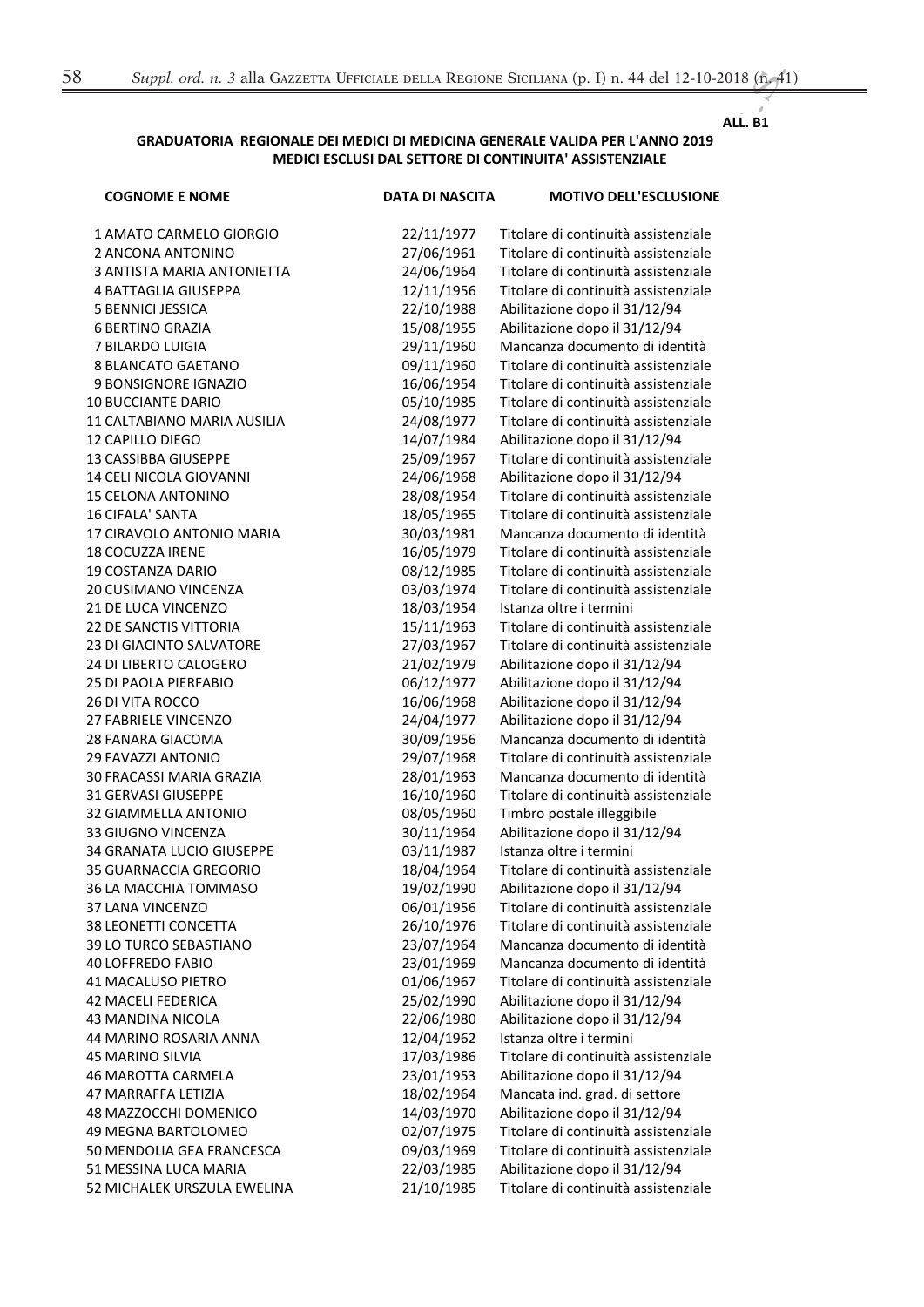## **ALL. B1**

## GRADUATORIA REGIONALE DEI MEDICI DI MEDICINA GENERALE VALIDA PER L'ANNO 2019 MEDICI ESCLUSI DAL SETTORE DI CONTINUITA' ASSISTENZIALE

| <b>COGNOME E NOME</b>             | <b>DATA DI NASCITA</b> | <b>MOTIVO DELL'ESCLUSIONE</b>        |
|-----------------------------------|------------------------|--------------------------------------|
| 1 AMATO CARMELO GIORGIO           | 22/11/1977             | Titolare di continuità assistenziale |
| 2 ANCONA ANTONINO                 | 27/06/1961             | Titolare di continuità assistenziale |
| <b>3 ANTISTA MARIA ANTONIETTA</b> | 24/06/1964             | Titolare di continuità assistenziale |
| <b>4 BATTAGLIA GIUSEPPA</b>       | 12/11/1956             | Titolare di continuità assistenziale |
| <b>5 BENNICI JESSICA</b>          | 22/10/1988             | Abilitazione dopo il 31/12/94        |
| <b>6 BERTINO GRAZIA</b>           | 15/08/1955             | Abilitazione dopo il 31/12/94        |
| 7 BILARDO LUIGIA                  | 29/11/1960             | Mancanza documento di identità       |
| 8 BLANCATO GAETANO                | 09/11/1960             | Titolare di continuità assistenziale |
| 9 BONSIGNORE IGNAZIO              | 16/06/1954             | Titolare di continuità assistenziale |
| <b>10 BUCCIANTE DARIO</b>         | 05/10/1985             | Titolare di continuità assistenziale |
| 11 CALTABIANO MARIA AUSILIA       | 24/08/1977             | Titolare di continuità assistenziale |
| <b>12 CAPILLO DIEGO</b>           | 14/07/1984             | Abilitazione dopo il 31/12/94        |
| 13 CASSIBBA GIUSEPPE              | 25/09/1967             | Titolare di continuità assistenziale |
| 14 CELI NICOLA GIOVANNI           | 24/06/1968             | Abilitazione dopo il 31/12/94        |
| <b>15 CELONA ANTONINO</b>         | 28/08/1954             | Titolare di continuità assistenziale |
| <b>16 CIFALA' SANTA</b>           | 18/05/1965             | Titolare di continuità assistenziale |
| 17 CIRAVOLO ANTONIO MARIA         | 30/03/1981             | Mancanza documento di identità       |
| <b>18 COCUZZA IRENE</b>           | 16/05/1979             | Titolare di continuità assistenziale |
| <b>19 COSTANZA DARIO</b>          | 08/12/1985             | Titolare di continuità assistenziale |
| 20 CUSIMANO VINCENZA              | 03/03/1974             | Titolare di continuità assistenziale |
| 21 DE LUCA VINCENZO               | 18/03/1954             | Istanza oltre i termini              |
| <b>22 DE SANCTIS VITTORIA</b>     | 15/11/1963             | Titolare di continuità assistenziale |
| 23 DI GIACINTO SALVATORE          | 27/03/1967             | Titolare di continuità assistenziale |
| 24 DI LIBERTO CALOGERO            | 21/02/1979             | Abilitazione dopo il 31/12/94        |
| <b>25 DI PAOLA PIERFABIO</b>      | 06/12/1977             | Abilitazione dopo il 31/12/94        |
| <b>26 DI VITA ROCCO</b>           | 16/06/1968             | Abilitazione dopo il 31/12/94        |
| 27 FABRIELE VINCENZO              | 24/04/1977             | Abilitazione dopo il 31/12/94        |
| 28 FANARA GIACOMA                 | 30/09/1956             | Mancanza documento di identità       |
| 29 FAVAZZI ANTONIO                | 29/07/1968             | Titolare di continuità assistenziale |
| 30 FRACASSI MARIA GRAZIA          | 28/01/1963             | Mancanza documento di identità       |
| 31 GERVASI GIUSEPPE               | 16/10/1960             | Titolare di continuità assistenziale |
| 32 GIAMMELLA ANTONIO              | 08/05/1960             | Timbro postale illeggibile           |
| 33 GIUGNO VINCENZA                | 30/11/1964             | Abilitazione dopo il 31/12/94        |
| 34 GRANATA LUCIO GIUSEPPE         | 03/11/1987             | Istanza oltre i termini              |
| 35 GUARNACCIA GREGORIO            | 18/04/1964             | Titolare di continuità assistenziale |
| 36 LA MACCHIA TOMMASO             | 19/02/1990             | Abilitazione dopo il 31/12/94        |
| 37 LANA VINCENZO                  | 06/01/1956             | Titolare di continuità assistenziale |
| <b>38 LEONETTI CONCETTA</b>       | 26/10/1976             | Titolare di continuità assistenziale |
| 39 LO TURCO SEBASTIANO            | 23/07/1964             | Mancanza documento di identità       |
| <b>40 LOFFREDO FABIO</b>          | 23/01/1969             | Mancanza documento di identità       |
| <b>41 MACALUSO PIETRO</b>         | 01/06/1967             | Titolare di continuità assistenziale |
| <b>42 MACELI FEDERICA</b>         | 25/02/1990             | Abilitazione dopo il 31/12/94        |
| <b>43 MANDINA NICOLA</b>          | 22/06/1980             | Abilitazione dopo il 31/12/94        |
| <b>44 MARINO ROSARIA ANNA</b>     | 12/04/1962             | Istanza oltre i termini              |
| <b>45 MARINO SILVIA</b>           | 17/03/1986             | Titolare di continuità assistenziale |
| <b>46 MAROTTA CARMELA</b>         | 23/01/1953             | Abilitazione dopo il 31/12/94        |
| 47 MARRAFFA LETIZIA               | 18/02/1964             | Mancata ind. grad. di settore        |
| 48 MAZZOCCHI DOMENICO             | 14/03/1970             | Abilitazione dopo il 31/12/94        |
| 49 MEGNA BARTOLOMEO               | 02/07/1975             | Titolare di continuità assistenziale |
| 50 MENDOLIA GEA FRANCESCA         | 09/03/1969             | Titolare di continuità assistenziale |
| 51 MESSINA LUCA MARIA             | 22/03/1985             | Abilitazione dopo il 31/12/94        |
| 52 MICHALEK URSZULA EWELINA       | 21/10/1985             | Titolare di continuità assistenziale |